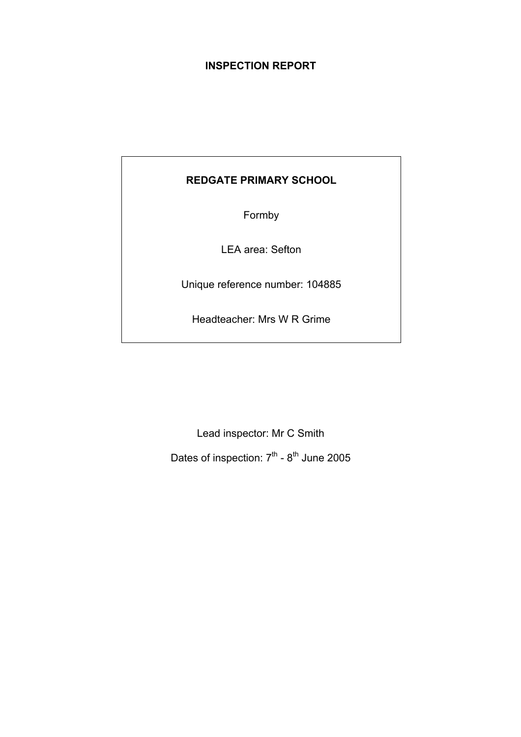# **INSPECTION REPORT**

# **REDGATE PRIMARY SCHOOL**

Formby

LEA area: Sefton

Unique reference number: 104885

Headteacher: Mrs W R Grime

Lead inspector: Mr C Smith

Dates of inspection:  $7<sup>th</sup>$  -  $8<sup>th</sup>$  June 2005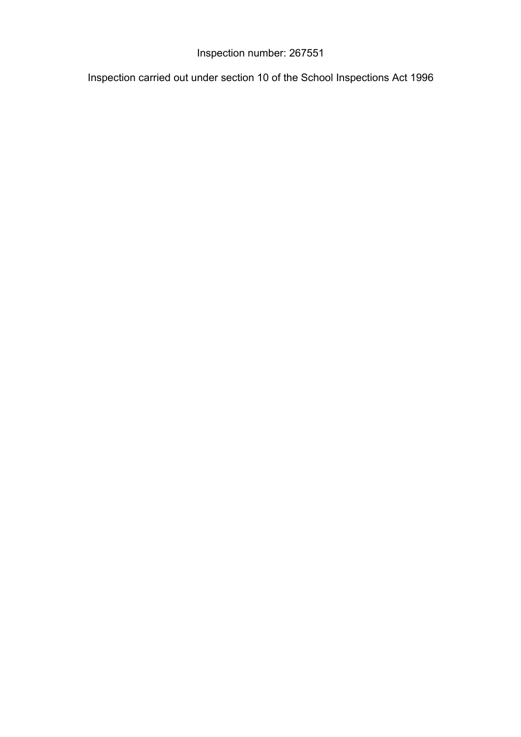# Inspection number: 267551

Inspection carried out under section 10 of the School Inspections Act 1996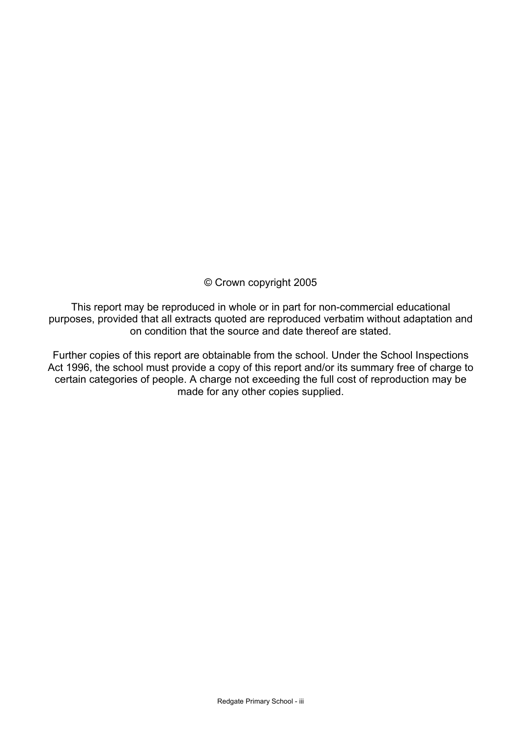# © Crown copyright 2005

This report may be reproduced in whole or in part for non-commercial educational purposes, provided that all extracts quoted are reproduced verbatim without adaptation and on condition that the source and date thereof are stated.

Further copies of this report are obtainable from the school. Under the School Inspections Act 1996, the school must provide a copy of this report and/or its summary free of charge to certain categories of people. A charge not exceeding the full cost of reproduction may be made for any other copies supplied.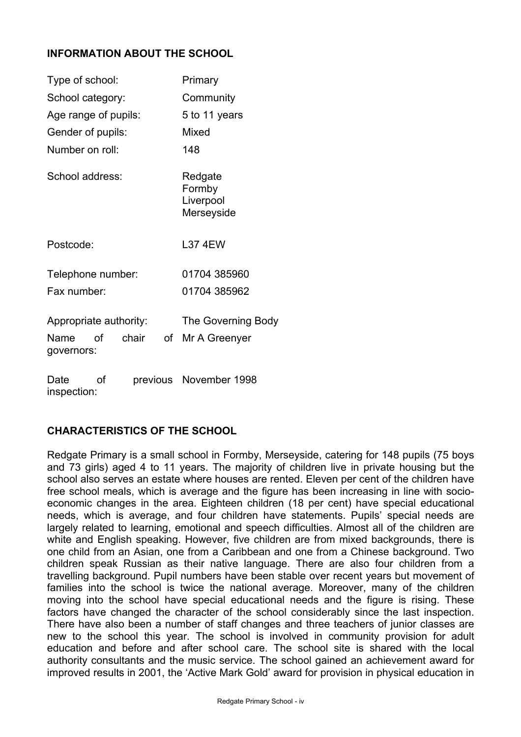# **INFORMATION ABOUT THE SCHOOL**

| Type of school:           |       | Primary                                      |
|---------------------------|-------|----------------------------------------------|
| School category:          |       | Community                                    |
| Age range of pupils:      |       | 5 to 11 years                                |
| Gender of pupils:         |       | Mixed                                        |
| Number on roll:           |       | 148                                          |
| School address:           |       | Redgate<br>Formby<br>Liverpool<br>Merseyside |
| Postcode:                 |       | <b>L37 4EW</b>                               |
| Telephone number:         |       | 01704 385960                                 |
| Fax number:               |       | 01704 385962                                 |
| Appropriate authority:    |       | The Governing Body                           |
| Name of<br>governors:     | chair | of Mr A Greenyer                             |
| $D \circ t \circ \circ f$ |       | restigate Movember 1008                      |

Date of previous November 1998 inspection:

# **CHARACTERISTICS OF THE SCHOOL**

Redgate Primary is a small school in Formby, Merseyside, catering for 148 pupils (75 boys and 73 girls) aged 4 to 11 years. The majority of children live in private housing but the school also serves an estate where houses are rented. Eleven per cent of the children have free school meals, which is average and the figure has been increasing in line with socioeconomic changes in the area. Eighteen children (18 per cent) have special educational needs, which is average, and four children have statements. Pupils' special needs are largely related to learning, emotional and speech difficulties. Almost all of the children are white and English speaking. However, five children are from mixed backgrounds, there is one child from an Asian, one from a Caribbean and one from a Chinese background. Two children speak Russian as their native language. There are also four children from a travelling background. Pupil numbers have been stable over recent years but movement of families into the school is twice the national average. Moreover, many of the children moving into the school have special educational needs and the figure is rising. These factors have changed the character of the school considerably since the last inspection. There have also been a number of staff changes and three teachers of junior classes are new to the school this year. The school is involved in community provision for adult education and before and after school care. The school site is shared with the local authority consultants and the music service. The school gained an achievement award for improved results in 2001, the 'Active Mark Gold' award for provision in physical education in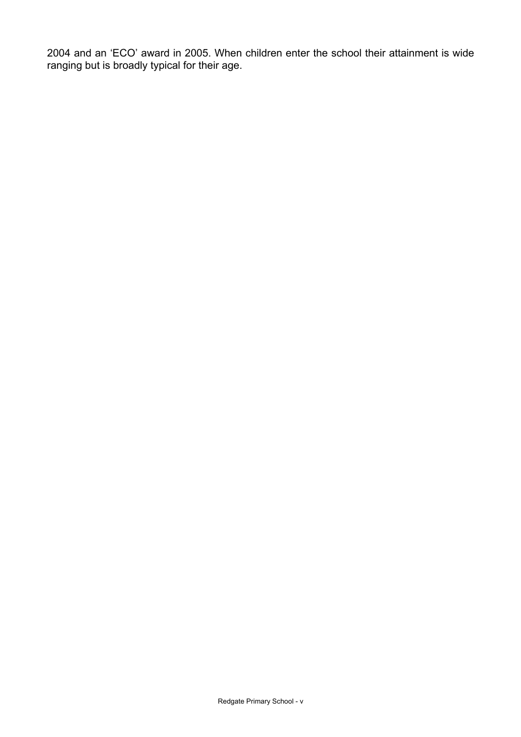2004 and an 'ECO' award in 2005. When children enter the school their attainment is wide ranging but is broadly typical for their age.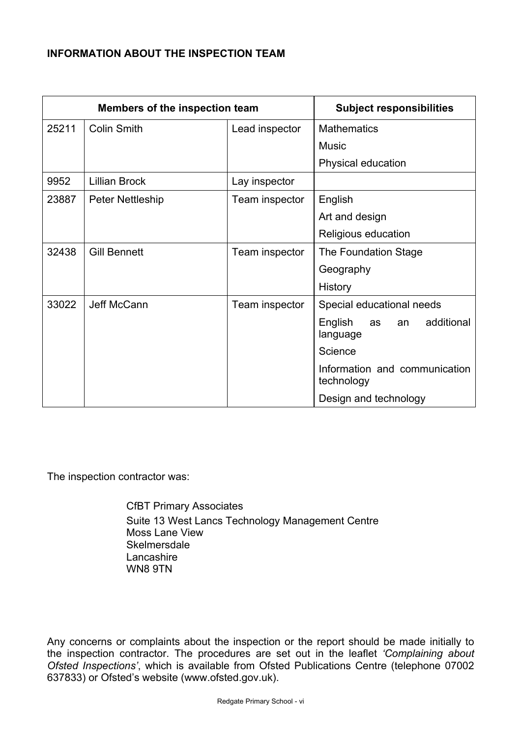# **INFORMATION ABOUT THE INSPECTION TEAM**

| Members of the inspection team |                      | <b>Subject responsibilities</b> |                                               |
|--------------------------------|----------------------|---------------------------------|-----------------------------------------------|
| 25211                          | <b>Colin Smith</b>   | Lead inspector                  | <b>Mathematics</b>                            |
|                                |                      |                                 | <b>Music</b>                                  |
|                                |                      |                                 | Physical education                            |
| 9952                           | <b>Lillian Brock</b> | Lay inspector                   |                                               |
| 23887                          | Peter Nettleship     | Team inspector                  | English                                       |
|                                |                      |                                 | Art and design                                |
|                                |                      |                                 | Religious education                           |
| 32438                          | <b>Gill Bennett</b>  | Team inspector                  | The Foundation Stage                          |
|                                |                      |                                 | Geography                                     |
|                                |                      |                                 | History                                       |
| 33022                          | Jeff McCann          | Team inspector                  | Special educational needs                     |
|                                |                      |                                 | English<br>additional<br>as<br>an<br>language |
|                                |                      |                                 | Science                                       |
|                                |                      |                                 | Information and communication<br>technology   |
|                                |                      |                                 | Design and technology                         |

The inspection contractor was:

 CfBT Primary Associates Suite 13 West Lancs Technology Management Centre Moss Lane View **Skelmersdale**  Lancashire WN8 9TN

Any concerns or complaints about the inspection or the report should be made initially to the inspection contractor. The procedures are set out in the leaflet *'Complaining about Ofsted Inspections'*, which is available from Ofsted Publications Centre (telephone 07002 637833) or Ofsted's website (www.ofsted.gov.uk).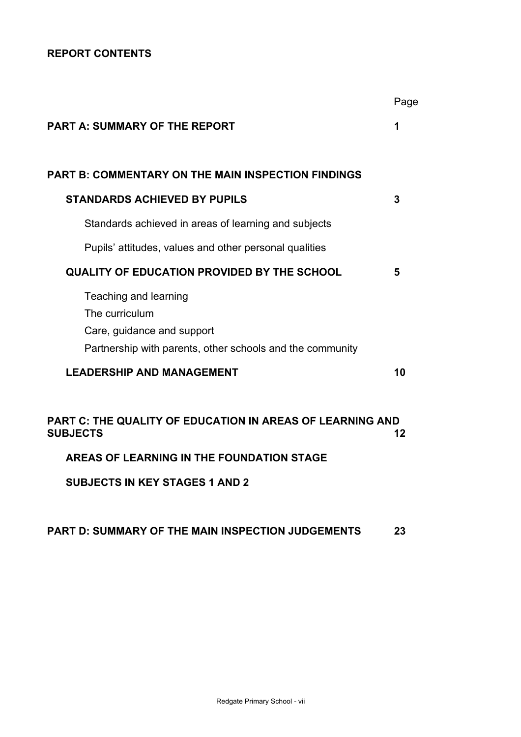# **REPORT CONTENTS**

|                                                                              | Page |
|------------------------------------------------------------------------------|------|
| <b>PART A: SUMMARY OF THE REPORT</b>                                         |      |
| PART B: COMMENTARY ON THE MAIN INSPECTION FINDINGS                           |      |
|                                                                              |      |
| <b>STANDARDS ACHIEVED BY PUPILS</b>                                          | 3    |
| Standards achieved in areas of learning and subjects                         |      |
| Pupils' attitudes, values and other personal qualities                       |      |
| <b>QUALITY OF EDUCATION PROVIDED BY THE SCHOOL</b>                           | 5    |
| Teaching and learning                                                        |      |
| The curriculum                                                               |      |
| Care, guidance and support                                                   |      |
| Partnership with parents, other schools and the community                    |      |
| <b>LEADERSHIP AND MANAGEMENT</b>                                             | 10   |
|                                                                              |      |
| PART C: THE QUALITY OF EDUCATION IN AREAS OF LEARNING AND<br><b>SUBJECTS</b> | 12   |
| AREAS OF LEARNING IN THE FOUNDATION STAGE                                    |      |

**SUBJECTS IN KEY STAGES 1 AND 2** 

# **PART D: SUMMARY OF THE MAIN INSPECTION JUDGEMENTS 23**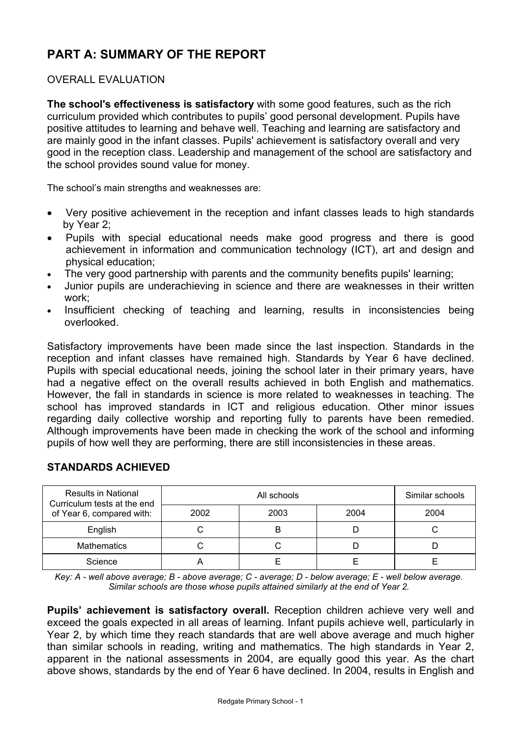# **PART A: SUMMARY OF THE REPORT**

## OVERALL EVALUATION

**The school's effectiveness is satisfactory** with some good features, such as the rich curriculum provided which contributes to pupils' good personal development. Pupils have positive attitudes to learning and behave well. Teaching and learning are satisfactory and are mainly good in the infant classes. Pupils' achievement is satisfactory overall and very good in the reception class. Leadership and management of the school are satisfactory and the school provides sound value for money.

The school's main strengths and weaknesses are:

- Very positive achievement in the reception and infant classes leads to high standards by Year 2;
- Pupils with special educational needs make good progress and there is good achievement in information and communication technology (ICT), art and design and physical education;
- The very good partnership with parents and the community benefits pupils' learning;
- Junior pupils are underachieving in science and there are weaknesses in their written work;
- Insufficient checking of teaching and learning, results in inconsistencies being overlooked.

Satisfactory improvements have been made since the last inspection. Standards in the reception and infant classes have remained high. Standards by Year 6 have declined. Pupils with special educational needs, joining the school later in their primary years, have had a negative effect on the overall results achieved in both English and mathematics. However, the fall in standards in science is more related to weaknesses in teaching. The school has improved standards in ICT and religious education. Other minor issues regarding daily collective worship and reporting fully to parents have been remedied. Although improvements have been made in checking the work of the school and informing pupils of how well they are performing, there are still inconsistencies in these areas.

| <b>Results in National</b><br>Curriculum tests at the end |      | Similar schools |      |      |
|-----------------------------------------------------------|------|-----------------|------|------|
| of Year 6, compared with:                                 | 2002 | 2003            | 2004 | 2004 |
| English                                                   |      | B               |      |      |
| <b>Mathematics</b>                                        |      |                 |      |      |
| Science                                                   |      |                 |      |      |

# **STANDARDS ACHIEVED**

*Key: A - well above average; B - above average; C - average; D - below average; E - well below average. Similar schools are those whose pupils attained similarly at the end of Year 2.* 

**Pupils' achievement is satisfactory overall.** Reception children achieve very well and exceed the goals expected in all areas of learning. Infant pupils achieve well, particularly in Year 2, by which time they reach standards that are well above average and much higher than similar schools in reading, writing and mathematics. The high standards in Year 2, apparent in the national assessments in 2004, are equally good this year. As the chart above shows, standards by the end of Year 6 have declined. In 2004, results in English and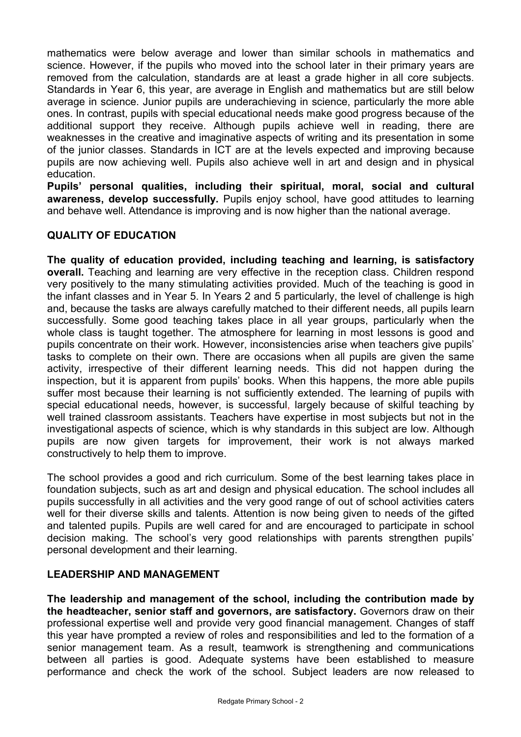mathematics were below average and lower than similar schools in mathematics and science. However, if the pupils who moved into the school later in their primary years are removed from the calculation, standards are at least a grade higher in all core subjects. Standards in Year 6, this year, are average in English and mathematics but are still below average in science. Junior pupils are underachieving in science, particularly the more able ones. In contrast, pupils with special educational needs make good progress because of the additional support they receive. Although pupils achieve well in reading, there are weaknesses in the creative and imaginative aspects of writing and its presentation in some of the junior classes. Standards in ICT are at the levels expected and improving because pupils are now achieving well. Pupils also achieve well in art and design and in physical education.

**Pupils' personal qualities, including their spiritual, moral, social and cultural awareness, develop successfully.** Pupils enjoy school, have good attitudes to learning and behave well. Attendance is improving and is now higher than the national average.

# **QUALITY OF EDUCATION**

**The quality of education provided, including teaching and learning, is satisfactory overall.** Teaching and learning are very effective in the reception class. Children respond very positively to the many stimulating activities provided. Much of the teaching is good in the infant classes and in Year 5. In Years 2 and 5 particularly, the level of challenge is high and, because the tasks are always carefully matched to their different needs, all pupils learn successfully. Some good teaching takes place in all year groups, particularly when the whole class is taught together. The atmosphere for learning in most lessons is good and pupils concentrate on their work. However, inconsistencies arise when teachers give pupils' tasks to complete on their own. There are occasions when all pupils are given the same activity, irrespective of their different learning needs. This did not happen during the inspection, but it is apparent from pupils' books. When this happens, the more able pupils suffer most because their learning is not sufficiently extended. The learning of pupils with special educational needs, however, is successful, largely because of skilful teaching by well trained classroom assistants. Teachers have expertise in most subjects but not in the investigational aspects of science, which is why standards in this subject are low. Although pupils are now given targets for improvement, their work is not always marked constructively to help them to improve.

The school provides a good and rich curriculum. Some of the best learning takes place in foundation subjects, such as art and design and physical education. The school includes all pupils successfully in all activities and the very good range of out of school activities caters well for their diverse skills and talents. Attention is now being given to needs of the gifted and talented pupils. Pupils are well cared for and are encouraged to participate in school decision making. The school's very good relationships with parents strengthen pupils' personal development and their learning.

# **LEADERSHIP AND MANAGEMENT**

**The leadership and management of the school, including the contribution made by the headteacher, senior staff and governors, are satisfactory.** Governors draw on their professional expertise well and provide very good financial management. Changes of staff this year have prompted a review of roles and responsibilities and led to the formation of a senior management team. As a result, teamwork is strengthening and communications between all parties is good. Adequate systems have been established to measure performance and check the work of the school. Subject leaders are now released to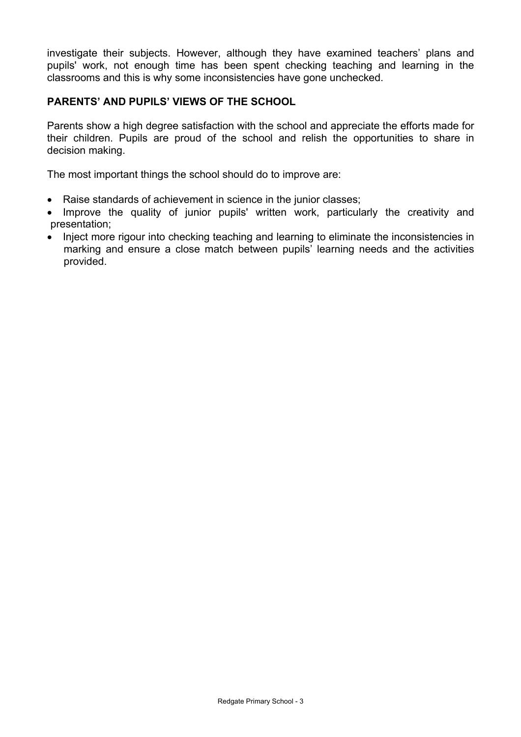investigate their subjects. However, although they have examined teachers' plans and pupils' work, not enough time has been spent checking teaching and learning in the classrooms and this is why some inconsistencies have gone unchecked.

# **PARENTS' AND PUPILS' VIEWS OF THE SCHOOL**

Parents show a high degree satisfaction with the school and appreciate the efforts made for their children. Pupils are proud of the school and relish the opportunities to share in decision making.

The most important things the school should do to improve are:

- Raise standards of achievement in science in the junior classes;
- Improve the quality of junior pupils' written work, particularly the creativity and presentation;
- Inject more rigour into checking teaching and learning to eliminate the inconsistencies in marking and ensure a close match between pupils' learning needs and the activities provided.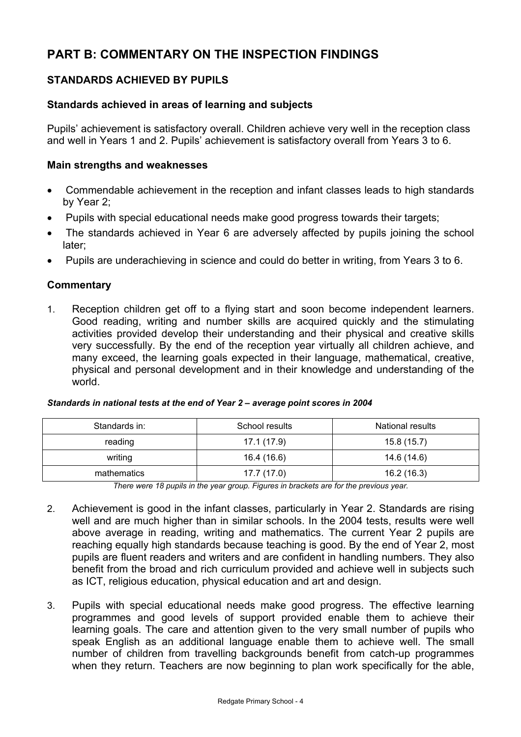# **PART B: COMMENTARY ON THE INSPECTION FINDINGS**

# **STANDARDS ACHIEVED BY PUPILS**

## **Standards achieved in areas of learning and subjects**

Pupils' achievement is satisfactory overall. Children achieve very well in the reception class and well in Years 1 and 2. Pupils' achievement is satisfactory overall from Years 3 to 6.

## **Main strengths and weaknesses**

- Commendable achievement in the reception and infant classes leads to high standards by Year 2;
- Pupils with special educational needs make good progress towards their targets;
- The standards achieved in Year 6 are adversely affected by pupils joining the school later;
- Pupils are underachieving in science and could do better in writing, from Years 3 to 6.

## **Commentary**

1. Reception children get off to a flying start and soon become independent learners. Good reading, writing and number skills are acquired quickly and the stimulating activities provided develop their understanding and their physical and creative skills very successfully. By the end of the reception year virtually all children achieve, and many exceed, the learning goals expected in their language, mathematical, creative, physical and personal development and in their knowledge and understanding of the world.

| Standards in: | School results | National results |
|---------------|----------------|------------------|
| reading       | 17.1 (17.9)    | 15.8(15.7)       |
| writing       | 16.4 (16.6)    | 14.6 (14.6)      |
| mathematics   | 17.7 (17.0)    | 16.2 (16.3)      |

| Standards in national tests at the end of Year 2 - average point scores in 2004 |  |
|---------------------------------------------------------------------------------|--|
|---------------------------------------------------------------------------------|--|

*There were 18 pupils in the year group. Figures in brackets are for the previous year.* 

- 2. Achievement is good in the infant classes, particularly in Year 2. Standards are rising well and are much higher than in similar schools. In the 2004 tests, results were well above average in reading, writing and mathematics. The current Year 2 pupils are reaching equally high standards because teaching is good. By the end of Year 2, most pupils are fluent readers and writers and are confident in handling numbers. They also benefit from the broad and rich curriculum provided and achieve well in subjects such as ICT, religious education, physical education and art and design.
- 3. Pupils with special educational needs make good progress. The effective learning programmes and good levels of support provided enable them to achieve their learning goals. The care and attention given to the very small number of pupils who speak English as an additional language enable them to achieve well. The small number of children from travelling backgrounds benefit from catch-up programmes when they return. Teachers are now beginning to plan work specifically for the able,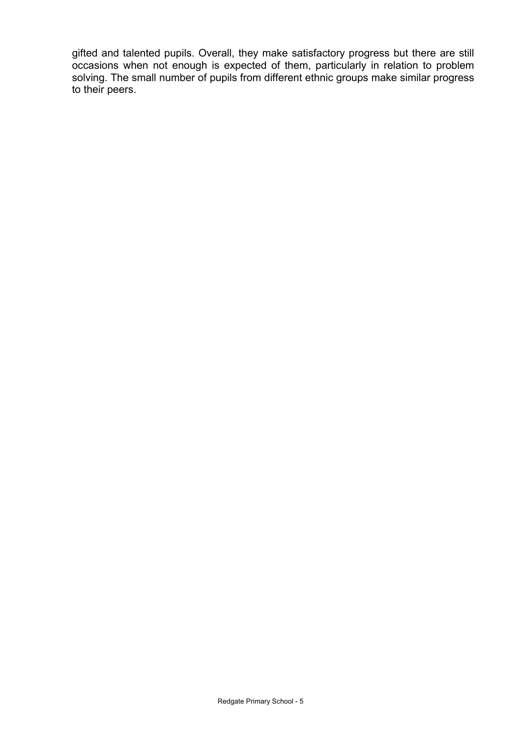gifted and talented pupils. Overall, they make satisfactory progress but there are still occasions when not enough is expected of them, particularly in relation to problem solving. The small number of pupils from different ethnic groups make similar progress to their peers.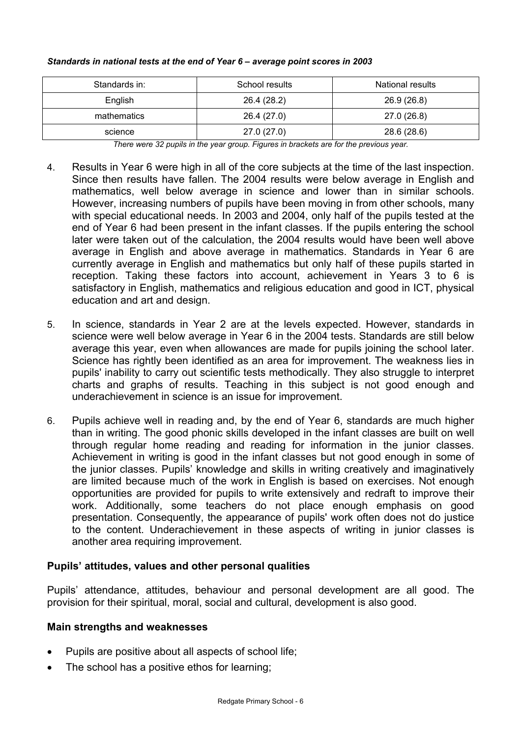| Standards in: | School results | <b>National results</b> |
|---------------|----------------|-------------------------|
| English       | 26.4 (28.2)    | 26.9 (26.8)             |
| mathematics   | 26.4 (27.0)    | 27.0 (26.8)             |
| science       | 27.0(27.0)     | 28.6 (28.6)             |

#### *Standards in national tests at the end of Year 6 – average point scores in 2003*

*There were 32 pupils in the year group. Figures in brackets are for the previous year.* 

- 4. Results in Year 6 were high in all of the core subjects at the time of the last inspection. Since then results have fallen. The 2004 results were below average in English and mathematics, well below average in science and lower than in similar schools. However, increasing numbers of pupils have been moving in from other schools, many with special educational needs. In 2003 and 2004, only half of the pupils tested at the end of Year 6 had been present in the infant classes. If the pupils entering the school later were taken out of the calculation, the 2004 results would have been well above average in English and above average in mathematics. Standards in Year 6 are currently average in English and mathematics but only half of these pupils started in reception. Taking these factors into account, achievement in Years 3 to 6 is satisfactory in English, mathematics and religious education and good in ICT, physical education and art and design.
- 5. In science, standards in Year 2 are at the levels expected. However, standards in science were well below average in Year 6 in the 2004 tests. Standards are still below average this year, even when allowances are made for pupils joining the school later. Science has rightly been identified as an area for improvement. The weakness lies in pupils' inability to carry out scientific tests methodically. They also struggle to interpret charts and graphs of results. Teaching in this subject is not good enough and underachievement in science is an issue for improvement.
- 6. Pupils achieve well in reading and, by the end of Year 6, standards are much higher than in writing. The good phonic skills developed in the infant classes are built on well through regular home reading and reading for information in the junior classes. Achievement in writing is good in the infant classes but not good enough in some of the junior classes. Pupils' knowledge and skills in writing creatively and imaginatively are limited because much of the work in English is based on exercises. Not enough opportunities are provided for pupils to write extensively and redraft to improve their work. Additionally, some teachers do not place enough emphasis on good presentation. Consequently, the appearance of pupils' work often does not do justice to the content. Underachievement in these aspects of writing in junior classes is another area requiring improvement.

## **Pupils' attitudes, values and other personal qualities**

Pupils' attendance, attitudes, behaviour and personal development are all good. The provision for their spiritual, moral, social and cultural, development is also good.

## **Main strengths and weaknesses**

- Pupils are positive about all aspects of school life;
- The school has a positive ethos for learning;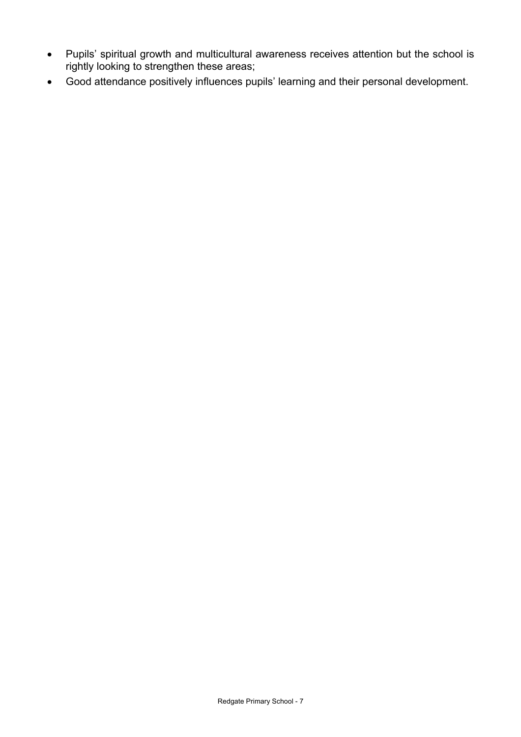- Pupils' spiritual growth and multicultural awareness receives attention but the school is rightly looking to strengthen these areas;
- Good attendance positively influences pupils' learning and their personal development.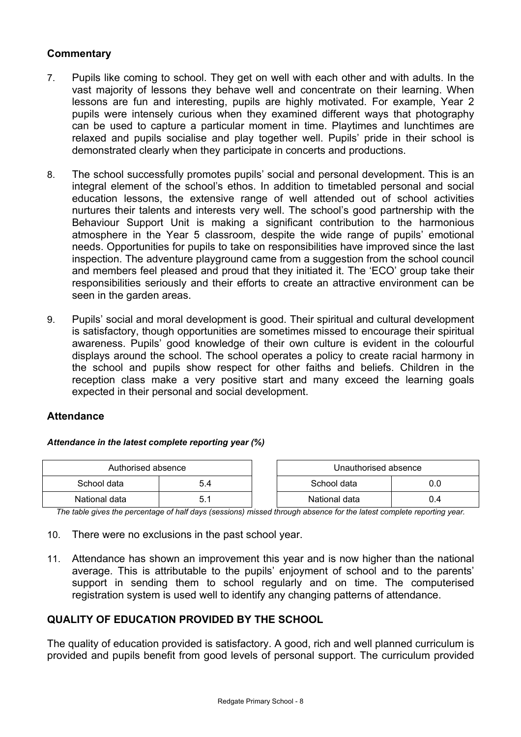# **Commentary**

- 7. Pupils like coming to school. They get on well with each other and with adults. In the vast majority of lessons they behave well and concentrate on their learning. When lessons are fun and interesting, pupils are highly motivated. For example, Year 2 pupils were intensely curious when they examined different ways that photography can be used to capture a particular moment in time. Playtimes and lunchtimes are relaxed and pupils socialise and play together well. Pupils' pride in their school is demonstrated clearly when they participate in concerts and productions.
- 8. The school successfully promotes pupils' social and personal development. This is an integral element of the school's ethos. In addition to timetabled personal and social education lessons, the extensive range of well attended out of school activities nurtures their talents and interests very well. The school's good partnership with the Behaviour Support Unit is making a significant contribution to the harmonious atmosphere in the Year 5 classroom, despite the wide range of pupils' emotional needs. Opportunities for pupils to take on responsibilities have improved since the last inspection. The adventure playground came from a suggestion from the school council and members feel pleased and proud that they initiated it. The 'ECO' group take their responsibilities seriously and their efforts to create an attractive environment can be seen in the garden areas.
- 9. Pupils' social and moral development is good. Their spiritual and cultural development is satisfactory, though opportunities are sometimes missed to encourage their spiritual awareness. Pupils' good knowledge of their own culture is evident in the colourful displays around the school. The school operates a policy to create racial harmony in the school and pupils show respect for other faiths and beliefs. Children in the reception class make a very positive start and many exceed the learning goals expected in their personal and social development.

## **Attendance**

#### *Attendance in the latest complete reporting year (%)*

| Authorised absence |     | Unauthorised absence |     |
|--------------------|-----|----------------------|-----|
| School data        | 5.4 | School data          |     |
| National data      | h   | National data        | J.4 |

*The table gives the percentage of half days (sessions) missed through absence for the latest complete reporting year.* 

- 10. There were no exclusions in the past school year.
- 11. Attendance has shown an improvement this year and is now higher than the national average. This is attributable to the pupils' enjoyment of school and to the parents' support in sending them to school regularly and on time. The computerised registration system is used well to identify any changing patterns of attendance.

## **QUALITY OF EDUCATION PROVIDED BY THE SCHOOL**

The quality of education provided is satisfactory. A good, rich and well planned curriculum is provided and pupils benefit from good levels of personal support. The curriculum provided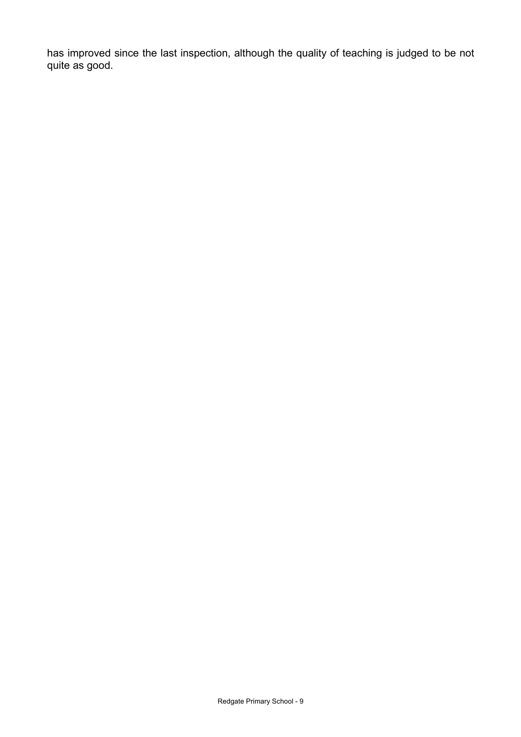has improved since the last inspection, although the quality of teaching is judged to be not quite as good.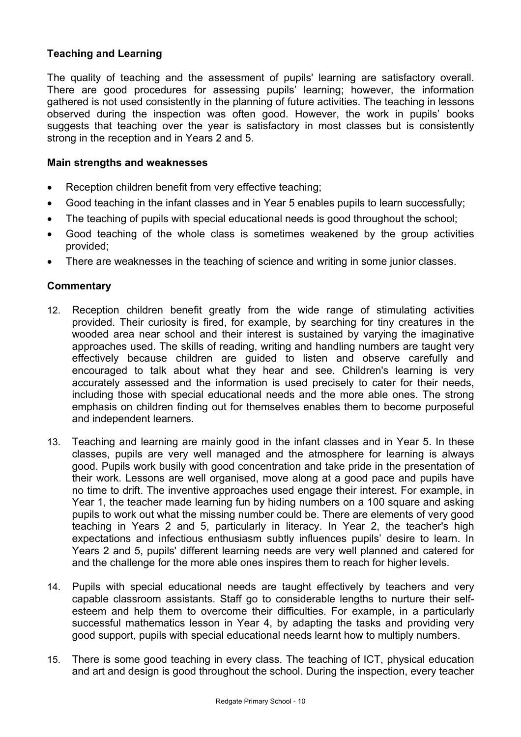# **Teaching and Learning**

The quality of teaching and the assessment of pupils' learning are satisfactory overall. There are good procedures for assessing pupils' learning; however, the information gathered is not used consistently in the planning of future activities. The teaching in lessons observed during the inspection was often good. However, the work in pupils' books suggests that teaching over the year is satisfactory in most classes but is consistently strong in the reception and in Years 2 and 5.

#### **Main strengths and weaknesses**

- Reception children benefit from very effective teaching;
- Good teaching in the infant classes and in Year 5 enables pupils to learn successfully;
- The teaching of pupils with special educational needs is good throughout the school:
- Good teaching of the whole class is sometimes weakened by the group activities provided;
- There are weaknesses in the teaching of science and writing in some junior classes.

## **Commentary**

- 12. Reception children benefit greatly from the wide range of stimulating activities provided. Their curiosity is fired, for example, by searching for tiny creatures in the wooded area near school and their interest is sustained by varying the imaginative approaches used. The skills of reading, writing and handling numbers are taught very effectively because children are guided to listen and observe carefully and encouraged to talk about what they hear and see. Children's learning is very accurately assessed and the information is used precisely to cater for their needs, including those with special educational needs and the more able ones. The strong emphasis on children finding out for themselves enables them to become purposeful and independent learners.
- 13. Teaching and learning are mainly good in the infant classes and in Year 5. In these classes, pupils are very well managed and the atmosphere for learning is always good. Pupils work busily with good concentration and take pride in the presentation of their work. Lessons are well organised, move along at a good pace and pupils have no time to drift. The inventive approaches used engage their interest. For example, in Year 1, the teacher made learning fun by hiding numbers on a 100 square and asking pupils to work out what the missing number could be. There are elements of very good teaching in Years 2 and 5, particularly in literacy. In Year 2, the teacher's high expectations and infectious enthusiasm subtly influences pupils' desire to learn. In Years 2 and 5, pupils' different learning needs are very well planned and catered for and the challenge for the more able ones inspires them to reach for higher levels.
- 14. Pupils with special educational needs are taught effectively by teachers and very capable classroom assistants. Staff go to considerable lengths to nurture their selfesteem and help them to overcome their difficulties. For example, in a particularly successful mathematics lesson in Year 4, by adapting the tasks and providing very good support, pupils with special educational needs learnt how to multiply numbers.
- 15. There is some good teaching in every class. The teaching of ICT, physical education and art and design is good throughout the school. During the inspection, every teacher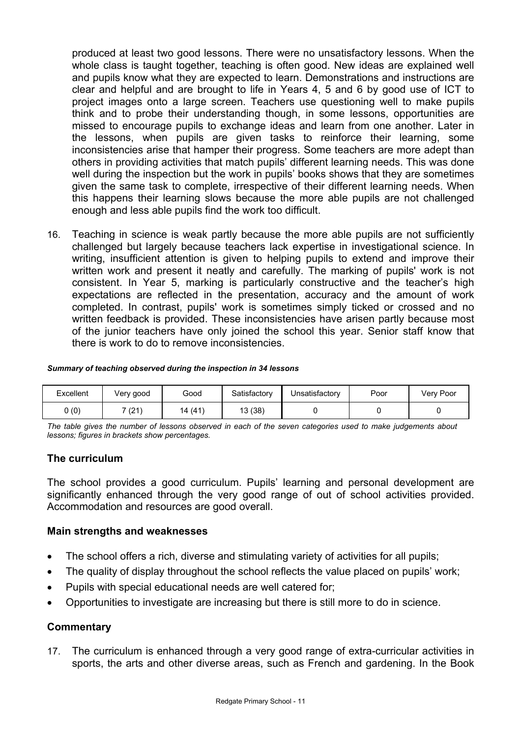produced at least two good lessons. There were no unsatisfactory lessons. When the whole class is taught together, teaching is often good. New ideas are explained well and pupils know what they are expected to learn. Demonstrations and instructions are clear and helpful and are brought to life in Years 4, 5 and 6 by good use of ICT to project images onto a large screen. Teachers use questioning well to make pupils think and to probe their understanding though, in some lessons, opportunities are missed to encourage pupils to exchange ideas and learn from one another. Later in the lessons, when pupils are given tasks to reinforce their learning, some inconsistencies arise that hamper their progress. Some teachers are more adept than others in providing activities that match pupils' different learning needs. This was done well during the inspection but the work in pupils' books shows that they are sometimes given the same task to complete, irrespective of their different learning needs. When this happens their learning slows because the more able pupils are not challenged enough and less able pupils find the work too difficult.

16. Teaching in science is weak partly because the more able pupils are not sufficiently challenged but largely because teachers lack expertise in investigational science. In writing, insufficient attention is given to helping pupils to extend and improve their written work and present it neatly and carefully. The marking of pupils' work is not consistent. In Year 5, marking is particularly constructive and the teacher's high expectations are reflected in the presentation, accuracy and the amount of work completed. In contrast, pupils' work is sometimes simply ticked or crossed and no written feedback is provided. These inconsistencies have arisen partly because most of the junior teachers have only joined the school this year. Senior staff know that there is work to do to remove inconsistencies.

#### *Summary of teaching observed during the inspection in 34 lessons*

| Excellent | Very good       | Good       | Satisfactory | Unsatisfactory | Poor | Very Poor |
|-----------|-----------------|------------|--------------|----------------|------|-----------|
| 0 (0)     | 7 (21)<br>1 Z 1 | (41)<br>14 | 13 (38)      |                |      |           |

*The table gives the number of lessons observed in each of the seven categories used to make judgements about lessons; figures in brackets show percentages.* 

## **The curriculum**

The school provides a good curriculum. Pupils' learning and personal development are significantly enhanced through the very good range of out of school activities provided. Accommodation and resources are good overall.

#### **Main strengths and weaknesses**

- The school offers a rich, diverse and stimulating variety of activities for all pupils;
- The quality of display throughout the school reflects the value placed on pupils' work;
- Pupils with special educational needs are well catered for;
- Opportunities to investigate are increasing but there is still more to do in science.

#### **Commentary**

17. The curriculum is enhanced through a very good range of extra-curricular activities in sports, the arts and other diverse areas, such as French and gardening. In the Book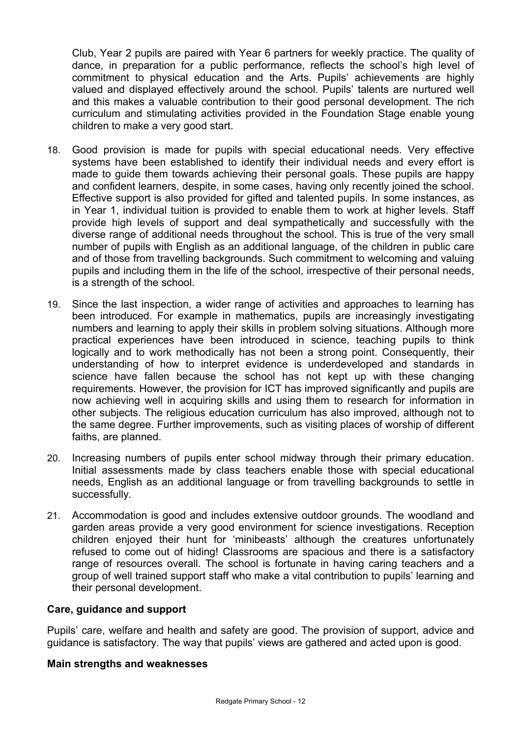Club, Year 2 pupils are paired with Year 6 partners for weekly practice. The quality of dance, in preparation for a public performance, reflects the school's high level of commitment to physical education and the Arts. Pupils' achievements are highly valued and displayed effectively around the school. Pupils' talents are nurtured well and this makes a valuable contribution to their good personal development. The rich curriculum and stimulating activities provided in the Foundation Stage enable young children to make a very good start.

- 18. Good provision is made for pupils with special educational needs. Very effective systems have been established to identify their individual needs and every effort is made to guide them towards achieving their personal goals. These pupils are happy and confident learners, despite, in some cases, having only recently joined the school. Effective support is also provided for gifted and talented pupils. In some instances, as in Year 1, individual tuition is provided to enable them to work at higher levels. Staff provide high levels of support and deal sympathetically and successfully with the diverse range of additional needs throughout the school. This is true of the very small number of pupils with English as an additional language, of the children in public care and of those from travelling backgrounds. Such commitment to welcoming and valuing pupils and including them in the life of the school, irrespective of their personal needs, is a strength of the school.
- 19. Since the last inspection, a wider range of activities and approaches to learning has been introduced. For example in mathematics, pupils are increasingly investigating numbers and learning to apply their skills in problem solving situations. Although more practical experiences have been introduced in science, teaching pupils to think logically and to work methodically has not been a strong point. Consequently, their understanding of how to interpret evidence is underdeveloped and standards in science have fallen because the school has not kept up with these changing requirements. However, the provision for ICT has improved significantly and pupils are now achieving well in acquiring skills and using them to research for information in other subjects. The religious education curriculum has also improved, although not to the same degree. Further improvements, such as visiting places of worship of different faiths, are planned.
- 20. Increasing numbers of pupils enter school midway through their primary education. Initial assessments made by class teachers enable those with special educational needs, English as an additional language or from travelling backgrounds to settle in successfully.
- 21. Accommodation is good and includes extensive outdoor grounds. The woodland and garden areas provide a very good environment for science investigations. Reception children enjoyed their hunt for 'minibeasts' although the creatures unfortunately refused to come out of hiding! Classrooms are spacious and there is a satisfactory range of resources overall. The school is fortunate in having caring teachers and a group of well trained support staff who make a vital contribution to pupils' learning and their personal development.

## **Care, guidance and support**

Pupils' care, welfare and health and safety are good. The provision of support, advice and guidance is satisfactory. The way that pupils' views are gathered and acted upon is good.

## **Main strengths and weaknesses**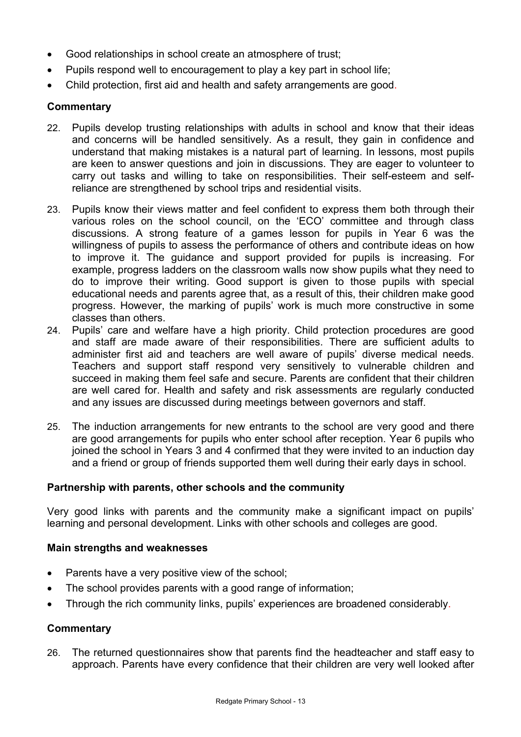- Good relationships in school create an atmosphere of trust;
- Pupils respond well to encouragement to play a key part in school life;
- Child protection, first aid and health and safety arrangements are good.

## **Commentary**

- 22. Pupils develop trusting relationships with adults in school and know that their ideas and concerns will be handled sensitively. As a result, they gain in confidence and understand that making mistakes is a natural part of learning. In lessons, most pupils are keen to answer questions and join in discussions. They are eager to volunteer to carry out tasks and willing to take on responsibilities. Their self-esteem and selfreliance are strengthened by school trips and residential visits.
- 23. Pupils know their views matter and feel confident to express them both through their various roles on the school council, on the 'ECO' committee and through class discussions. A strong feature of a games lesson for pupils in Year 6 was the willingness of pupils to assess the performance of others and contribute ideas on how to improve it. The guidance and support provided for pupils is increasing. For example, progress ladders on the classroom walls now show pupils what they need to do to improve their writing. Good support is given to those pupils with special educational needs and parents agree that, as a result of this, their children make good progress. However, the marking of pupils' work is much more constructive in some classes than others.
- 24. Pupils' care and welfare have a high priority. Child protection procedures are good and staff are made aware of their responsibilities. There are sufficient adults to administer first aid and teachers are well aware of pupils' diverse medical needs. Teachers and support staff respond very sensitively to vulnerable children and succeed in making them feel safe and secure. Parents are confident that their children are well cared for. Health and safety and risk assessments are regularly conducted and any issues are discussed during meetings between governors and staff.
- 25. The induction arrangements for new entrants to the school are very good and there are good arrangements for pupils who enter school after reception. Year 6 pupils who joined the school in Years 3 and 4 confirmed that they were invited to an induction day and a friend or group of friends supported them well during their early days in school.

## **Partnership with parents, other schools and the community**

Very good links with parents and the community make a significant impact on pupils' learning and personal development. Links with other schools and colleges are good.

## **Main strengths and weaknesses**

- Parents have a very positive view of the school;
- The school provides parents with a good range of information;
- Through the rich community links, pupils' experiences are broadened considerably.

## **Commentary**

26. The returned questionnaires show that parents find the headteacher and staff easy to approach. Parents have every confidence that their children are very well looked after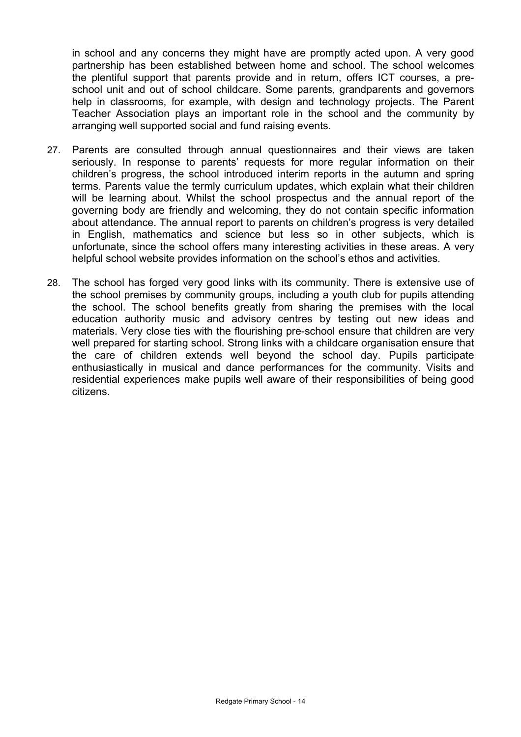in school and any concerns they might have are promptly acted upon. A very good partnership has been established between home and school. The school welcomes the plentiful support that parents provide and in return, offers ICT courses, a preschool unit and out of school childcare. Some parents, grandparents and governors help in classrooms, for example, with design and technology projects. The Parent Teacher Association plays an important role in the school and the community by arranging well supported social and fund raising events.

- 27. Parents are consulted through annual questionnaires and their views are taken seriously. In response to parents' requests for more regular information on their children's progress, the school introduced interim reports in the autumn and spring terms. Parents value the termly curriculum updates, which explain what their children will be learning about. Whilst the school prospectus and the annual report of the governing body are friendly and welcoming, they do not contain specific information about attendance. The annual report to parents on children's progress is very detailed in English, mathematics and science but less so in other subjects, which is unfortunate, since the school offers many interesting activities in these areas. A very helpful school website provides information on the school's ethos and activities.
- 28. The school has forged very good links with its community. There is extensive use of the school premises by community groups, including a youth club for pupils attending the school. The school benefits greatly from sharing the premises with the local education authority music and advisory centres by testing out new ideas and materials. Very close ties with the flourishing pre-school ensure that children are very well prepared for starting school. Strong links with a childcare organisation ensure that the care of children extends well beyond the school day. Pupils participate enthusiastically in musical and dance performances for the community. Visits and residential experiences make pupils well aware of their responsibilities of being good citizens.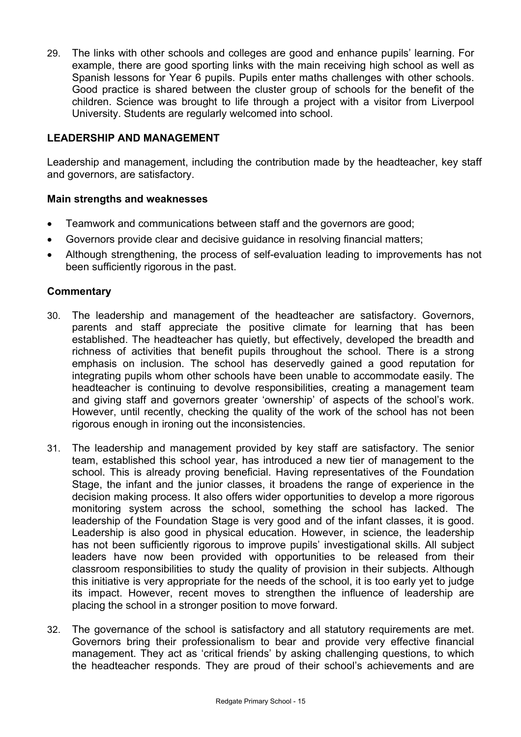29. The links with other schools and colleges are good and enhance pupils' learning. For example, there are good sporting links with the main receiving high school as well as Spanish lessons for Year 6 pupils. Pupils enter maths challenges with other schools. Good practice is shared between the cluster group of schools for the benefit of the children. Science was brought to life through a project with a visitor from Liverpool University. Students are regularly welcomed into school.

# **LEADERSHIP AND MANAGEMENT**

Leadership and management, including the contribution made by the headteacher, key staff and governors, are satisfactory.

## **Main strengths and weaknesses**

- Teamwork and communications between staff and the governors are good;
- Governors provide clear and decisive guidance in resolving financial matters;
- Although strengthening, the process of self-evaluation leading to improvements has not been sufficiently rigorous in the past.

## **Commentary**

- 30. The leadership and management of the headteacher are satisfactory. Governors, parents and staff appreciate the positive climate for learning that has been established. The headteacher has quietly, but effectively, developed the breadth and richness of activities that benefit pupils throughout the school. There is a strong emphasis on inclusion. The school has deservedly gained a good reputation for integrating pupils whom other schools have been unable to accommodate easily. The headteacher is continuing to devolve responsibilities, creating a management team and giving staff and governors greater 'ownership' of aspects of the school's work. However, until recently, checking the quality of the work of the school has not been rigorous enough in ironing out the inconsistencies.
- 31. The leadership and management provided by key staff are satisfactory. The senior team, established this school year, has introduced a new tier of management to the school. This is already proving beneficial. Having representatives of the Foundation Stage, the infant and the junior classes, it broadens the range of experience in the decision making process. It also offers wider opportunities to develop a more rigorous monitoring system across the school, something the school has lacked. The leadership of the Foundation Stage is very good and of the infant classes, it is good. Leadership is also good in physical education. However, in science, the leadership has not been sufficiently rigorous to improve pupils' investigational skills. All subject leaders have now been provided with opportunities to be released from their classroom responsibilities to study the quality of provision in their subjects. Although this initiative is very appropriate for the needs of the school, it is too early yet to judge its impact. However, recent moves to strengthen the influence of leadership are placing the school in a stronger position to move forward.
- 32. The governance of the school is satisfactory and all statutory requirements are met. Governors bring their professionalism to bear and provide very effective financial management. They act as 'critical friends' by asking challenging questions, to which the headteacher responds. They are proud of their school's achievements and are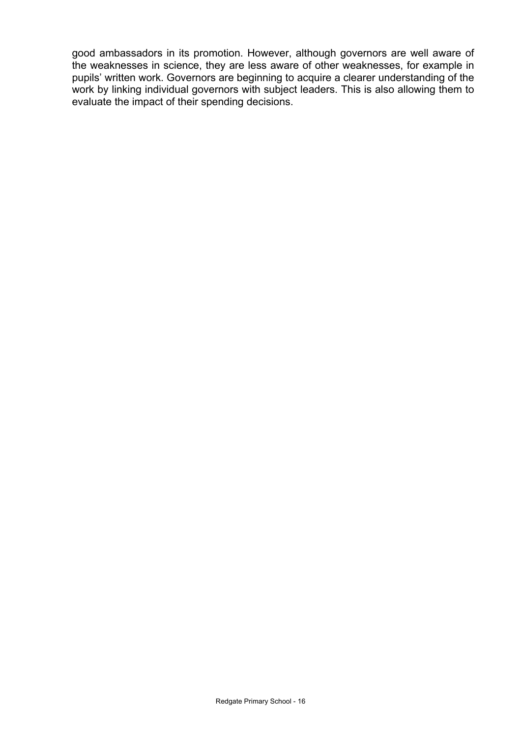good ambassadors in its promotion. However, although governors are well aware of the weaknesses in science, they are less aware of other weaknesses, for example in pupils' written work. Governors are beginning to acquire a clearer understanding of the work by linking individual governors with subject leaders. This is also allowing them to evaluate the impact of their spending decisions.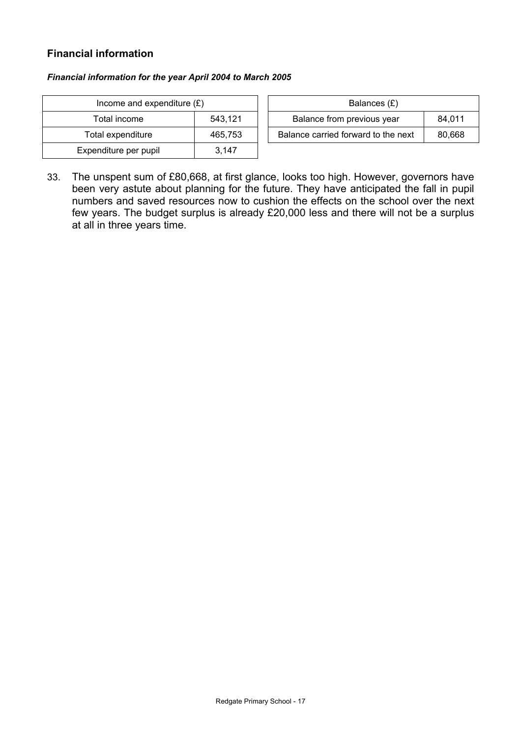## **Financial information**

#### *Financial information for the year April 2004 to March 2005*

| Income and expenditure $(E)$ | Balances $(E)$ |                                  |
|------------------------------|----------------|----------------------------------|
| Total income                 | 543,121        | Balance from previous year       |
| Total expenditure            | 465,753        | Balance carried forward to the r |
| Expenditure per pupil        | 3.147          |                                  |

| Income and expenditure $(E)$ |         | Balances (£)                        |        |
|------------------------------|---------|-------------------------------------|--------|
| Total income                 | 543.121 | Balance from previous year          | 84.011 |
| Total expenditure            | 465.753 | Balance carried forward to the next | 80.668 |

33. The unspent sum of £80,668, at first glance, looks too high. However, governors have been very astute about planning for the future. They have anticipated the fall in pupil numbers and saved resources now to cushion the effects on the school over the next few years. The budget surplus is already £20,000 less and there will not be a surplus at all in three years time.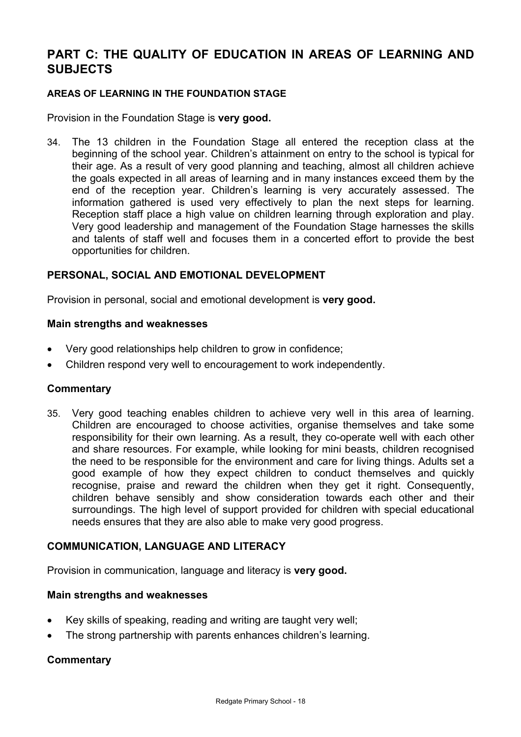# **PART C: THE QUALITY OF EDUCATION IN AREAS OF LEARNING AND SUBJECTS**

#### **AREAS OF LEARNING IN THE FOUNDATION STAGE**

Provision in the Foundation Stage is **very good.**

34. The 13 children in the Foundation Stage all entered the reception class at the beginning of the school year. Children's attainment on entry to the school is typical for their age. As a result of very good planning and teaching, almost all children achieve the goals expected in all areas of learning and in many instances exceed them by the end of the reception year. Children's learning is very accurately assessed. The information gathered is used very effectively to plan the next steps for learning. Reception staff place a high value on children learning through exploration and play. Very good leadership and management of the Foundation Stage harnesses the skills and talents of staff well and focuses them in a concerted effort to provide the best opportunities for children.

## **PERSONAL, SOCIAL AND EMOTIONAL DEVELOPMENT**

Provision in personal, social and emotional development is **very good.**

#### **Main strengths and weaknesses**

- Very good relationships help children to grow in confidence;
- Children respond very well to encouragement to work independently.

#### **Commentary**

35. Very good teaching enables children to achieve very well in this area of learning. Children are encouraged to choose activities, organise themselves and take some responsibility for their own learning. As a result, they co-operate well with each other and share resources. For example, while looking for mini beasts, children recognised the need to be responsible for the environment and care for living things. Adults set a good example of how they expect children to conduct themselves and quickly recognise, praise and reward the children when they get it right. Consequently, children behave sensibly and show consideration towards each other and their surroundings. The high level of support provided for children with special educational needs ensures that they are also able to make very good progress.

## **COMMUNICATION, LANGUAGE AND LITERACY**

Provision in communication, language and literacy is **very good.**

#### **Main strengths and weaknesses**

- Key skills of speaking, reading and writing are taught very well;
- The strong partnership with parents enhances children's learning.

## **Commentary**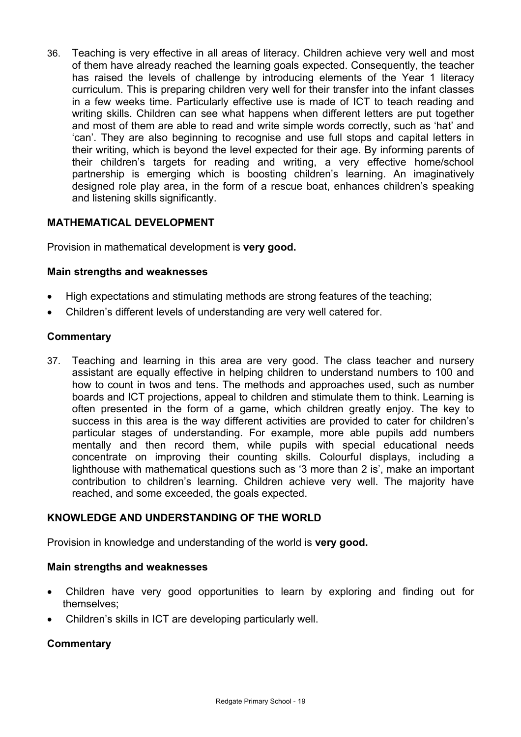36. Teaching is very effective in all areas of literacy. Children achieve very well and most of them have already reached the learning goals expected. Consequently, the teacher has raised the levels of challenge by introducing elements of the Year 1 literacy curriculum. This is preparing children very well for their transfer into the infant classes in a few weeks time. Particularly effective use is made of ICT to teach reading and writing skills. Children can see what happens when different letters are put together and most of them are able to read and write simple words correctly, such as 'hat' and 'can'. They are also beginning to recognise and use full stops and capital letters in their writing, which is beyond the level expected for their age. By informing parents of their children's targets for reading and writing, a very effective home/school partnership is emerging which is boosting children's learning. An imaginatively designed role play area, in the form of a rescue boat, enhances children's speaking and listening skills significantly.

# **MATHEMATICAL DEVELOPMENT**

Provision in mathematical development is **very good.** 

## **Main strengths and weaknesses**

- High expectations and stimulating methods are strong features of the teaching;
- Children's different levels of understanding are very well catered for.

## **Commentary**

37. Teaching and learning in this area are very good. The class teacher and nursery assistant are equally effective in helping children to understand numbers to 100 and how to count in twos and tens. The methods and approaches used, such as number boards and ICT projections, appeal to children and stimulate them to think. Learning is often presented in the form of a game, which children greatly enjoy. The key to success in this area is the way different activities are provided to cater for children's particular stages of understanding. For example, more able pupils add numbers mentally and then record them, while pupils with special educational needs concentrate on improving their counting skills. Colourful displays, including a lighthouse with mathematical questions such as '3 more than 2 is', make an important contribution to children's learning. Children achieve very well. The majority have reached, and some exceeded, the goals expected.

# **KNOWLEDGE AND UNDERSTANDING OF THE WORLD**

Provision in knowledge and understanding of the world is **very good.** 

## **Main strengths and weaknesses**

- Children have very good opportunities to learn by exploring and finding out for themselves;
- Children's skills in ICT are developing particularly well.

# **Commentary**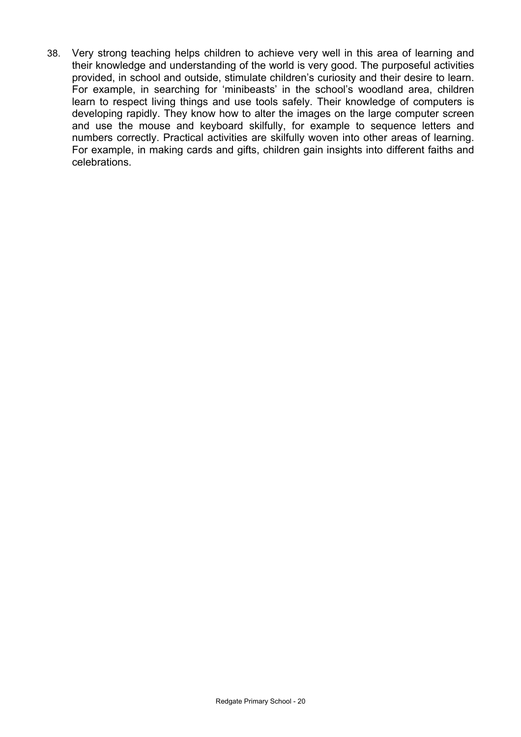38. Very strong teaching helps children to achieve very well in this area of learning and their knowledge and understanding of the world is very good. The purposeful activities provided, in school and outside, stimulate children's curiosity and their desire to learn. For example, in searching for 'minibeasts' in the school's woodland area, children learn to respect living things and use tools safely. Their knowledge of computers is developing rapidly. They know how to alter the images on the large computer screen and use the mouse and keyboard skilfully, for example to sequence letters and numbers correctly. Practical activities are skilfully woven into other areas of learning. For example, in making cards and gifts, children gain insights into different faiths and celebrations.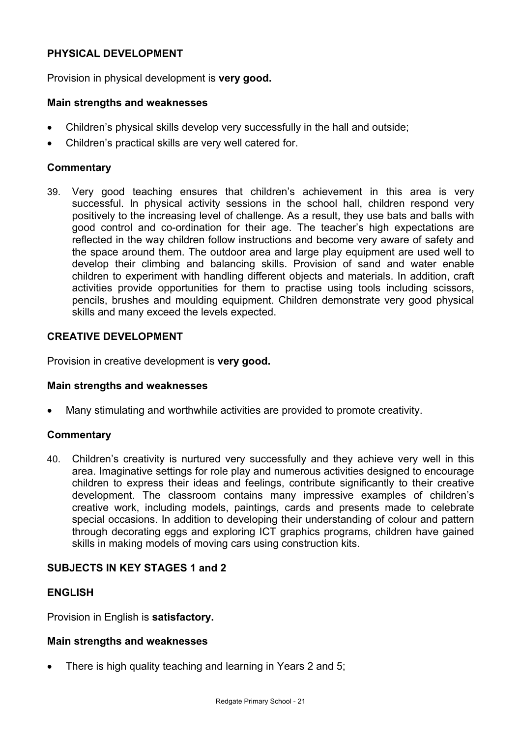## **PHYSICAL DEVELOPMENT**

Provision in physical development is **very good.** 

#### **Main strengths and weaknesses**

- Children's physical skills develop very successfully in the hall and outside;
- Children's practical skills are very well catered for.

## **Commentary**

39. Very good teaching ensures that children's achievement in this area is very successful. In physical activity sessions in the school hall, children respond very positively to the increasing level of challenge. As a result, they use bats and balls with good control and co-ordination for their age. The teacher's high expectations are reflected in the way children follow instructions and become very aware of safety and the space around them. The outdoor area and large play equipment are used well to develop their climbing and balancing skills. Provision of sand and water enable children to experiment with handling different objects and materials. In addition, craft activities provide opportunities for them to practise using tools including scissors, pencils, brushes and moulding equipment. Children demonstrate very good physical skills and many exceed the levels expected.

## **CREATIVE DEVELOPMENT**

Provision in creative development is **very good.** 

#### **Main strengths and weaknesses**

• Many stimulating and worthwhile activities are provided to promote creativity.

#### **Commentary**

40. Children's creativity is nurtured very successfully and they achieve very well in this area. Imaginative settings for role play and numerous activities designed to encourage children to express their ideas and feelings, contribute significantly to their creative development. The classroom contains many impressive examples of children's creative work, including models, paintings, cards and presents made to celebrate special occasions. In addition to developing their understanding of colour and pattern through decorating eggs and exploring ICT graphics programs, children have gained skills in making models of moving cars using construction kits.

## **SUBJECTS IN KEY STAGES 1 and 2**

## **ENGLISH**

Provision in English is **satisfactory.** 

#### **Main strengths and weaknesses**

There is high quality teaching and learning in Years 2 and 5;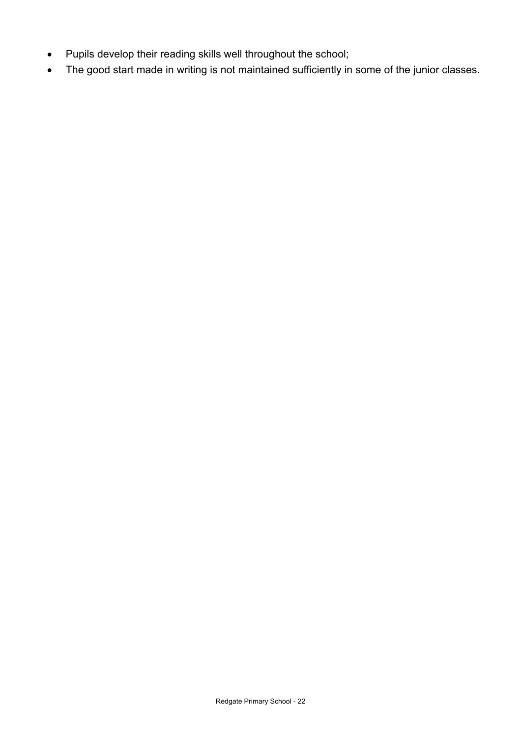- Pupils develop their reading skills well throughout the school;
- The good start made in writing is not maintained sufficiently in some of the junior classes.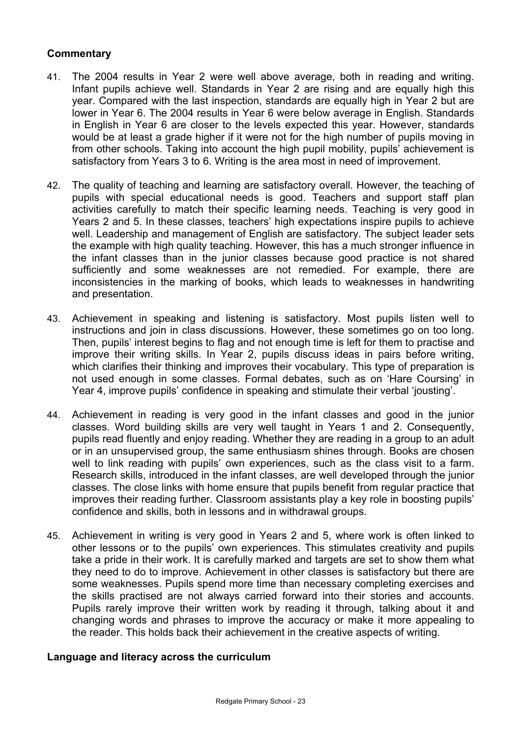## **Commentary**

- 41. The 2004 results in Year 2 were well above average, both in reading and writing. Infant pupils achieve well. Standards in Year 2 are rising and are equally high this year. Compared with the last inspection, standards are equally high in Year 2 but are lower in Year 6. The 2004 results in Year 6 were below average in English. Standards in English in Year 6 are closer to the levels expected this year. However, standards would be at least a grade higher if it were not for the high number of pupils moving in from other schools. Taking into account the high pupil mobility, pupils' achievement is satisfactory from Years 3 to 6. Writing is the area most in need of improvement.
- 42. The quality of teaching and learning are satisfactory overall. However, the teaching of pupils with special educational needs is good. Teachers and support staff plan activities carefully to match their specific learning needs. Teaching is very good in Years 2 and 5. In these classes, teachers' high expectations inspire pupils to achieve well. Leadership and management of English are satisfactory. The subject leader sets the example with high quality teaching. However, this has a much stronger influence in the infant classes than in the junior classes because good practice is not shared sufficiently and some weaknesses are not remedied. For example, there are inconsistencies in the marking of books, which leads to weaknesses in handwriting and presentation.
- 43. Achievement in speaking and listening is satisfactory. Most pupils listen well to instructions and join in class discussions. However, these sometimes go on too long. Then, pupils' interest begins to flag and not enough time is left for them to practise and improve their writing skills. In Year 2, pupils discuss ideas in pairs before writing, which clarifies their thinking and improves their vocabulary. This type of preparation is not used enough in some classes. Formal debates, such as on 'Hare Coursing' in Year 4, improve pupils' confidence in speaking and stimulate their verbal 'jousting'.
- 44. Achievement in reading is very good in the infant classes and good in the junior classes. Word building skills are very well taught in Years 1 and 2. Consequently, pupils read fluently and enjoy reading. Whether they are reading in a group to an adult or in an unsupervised group, the same enthusiasm shines through. Books are chosen well to link reading with pupils' own experiences, such as the class visit to a farm. Research skills, introduced in the infant classes, are well developed through the junior classes. The close links with home ensure that pupils benefit from regular practice that improves their reading further. Classroom assistants play a key role in boosting pupils' confidence and skills, both in lessons and in withdrawal groups.
- 45. Achievement in writing is very good in Years 2 and 5, where work is often linked to other lessons or to the pupils' own experiences. This stimulates creativity and pupils take a pride in their work. It is carefully marked and targets are set to show them what they need to do to improve. Achievement in other classes is satisfactory but there are some weaknesses. Pupils spend more time than necessary completing exercises and the skills practised are not always carried forward into their stories and accounts. Pupils rarely improve their written work by reading it through, talking about it and changing words and phrases to improve the accuracy or make it more appealing to the reader. This holds back their achievement in the creative aspects of writing.

## **Language and literacy across the curriculum**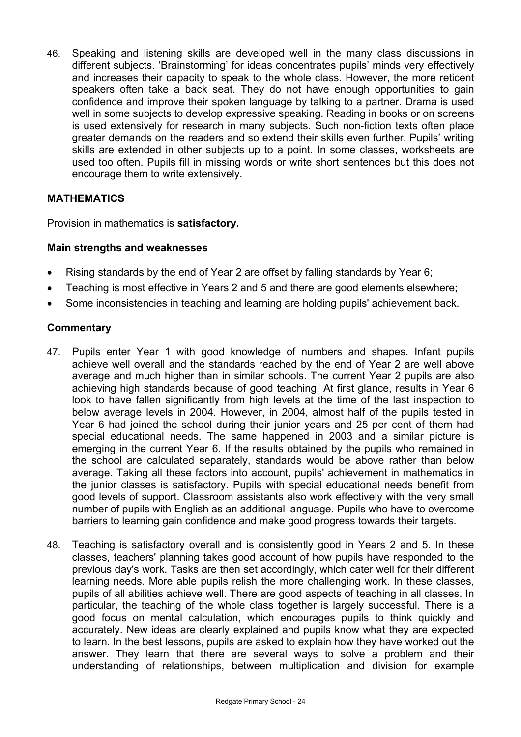46. Speaking and listening skills are developed well in the many class discussions in different subjects. 'Brainstorming' for ideas concentrates pupils' minds very effectively and increases their capacity to speak to the whole class. However, the more reticent speakers often take a back seat. They do not have enough opportunities to gain confidence and improve their spoken language by talking to a partner. Drama is used well in some subjects to develop expressive speaking. Reading in books or on screens is used extensively for research in many subjects. Such non-fiction texts often place greater demands on the readers and so extend their skills even further. Pupils' writing skills are extended in other subjects up to a point. In some classes, worksheets are used too often. Pupils fill in missing words or write short sentences but this does not encourage them to write extensively.

# **MATHEMATICS**

Provision in mathematics is **satisfactory.** 

## **Main strengths and weaknesses**

- Rising standards by the end of Year 2 are offset by falling standards by Year 6;
- Teaching is most effective in Years 2 and 5 and there are good elements elsewhere;
- Some inconsistencies in teaching and learning are holding pupils' achievement back.

## **Commentary**

- 47. Pupils enter Year 1 with good knowledge of numbers and shapes. Infant pupils achieve well overall and the standards reached by the end of Year 2 are well above average and much higher than in similar schools. The current Year 2 pupils are also achieving high standards because of good teaching. At first glance, results in Year 6 look to have fallen significantly from high levels at the time of the last inspection to below average levels in 2004. However, in 2004, almost half of the pupils tested in Year 6 had joined the school during their junior years and 25 per cent of them had special educational needs. The same happened in 2003 and a similar picture is emerging in the current Year 6. If the results obtained by the pupils who remained in the school are calculated separately, standards would be above rather than below average. Taking all these factors into account, pupils' achievement in mathematics in the junior classes is satisfactory. Pupils with special educational needs benefit from good levels of support. Classroom assistants also work effectively with the very small number of pupils with English as an additional language. Pupils who have to overcome barriers to learning gain confidence and make good progress towards their targets.
- 48. Teaching is satisfactory overall and is consistently good in Years 2 and 5. In these classes, teachers' planning takes good account of how pupils have responded to the previous day's work. Tasks are then set accordingly, which cater well for their different learning needs. More able pupils relish the more challenging work. In these classes, pupils of all abilities achieve well. There are good aspects of teaching in all classes. In particular, the teaching of the whole class together is largely successful. There is a good focus on mental calculation, which encourages pupils to think quickly and accurately. New ideas are clearly explained and pupils know what they are expected to learn. In the best lessons, pupils are asked to explain how they have worked out the answer. They learn that there are several ways to solve a problem and their understanding of relationships, between multiplication and division for example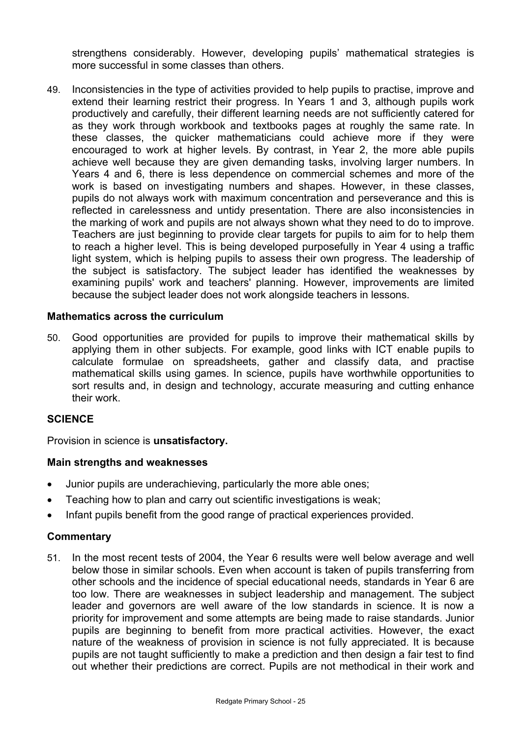strengthens considerably. However, developing pupils' mathematical strategies is more successful in some classes than others.

49. Inconsistencies in the type of activities provided to help pupils to practise, improve and extend their learning restrict their progress. In Years 1 and 3, although pupils work productively and carefully, their different learning needs are not sufficiently catered for as they work through workbook and textbooks pages at roughly the same rate. In these classes, the quicker mathematicians could achieve more if they were encouraged to work at higher levels. By contrast, in Year 2, the more able pupils achieve well because they are given demanding tasks, involving larger numbers. In Years 4 and 6, there is less dependence on commercial schemes and more of the work is based on investigating numbers and shapes. However, in these classes, pupils do not always work with maximum concentration and perseverance and this is reflected in carelessness and untidy presentation. There are also inconsistencies in the marking of work and pupils are not always shown what they need to do to improve. Teachers are just beginning to provide clear targets for pupils to aim for to help them to reach a higher level. This is being developed purposefully in Year 4 using a traffic light system, which is helping pupils to assess their own progress. The leadership of the subject is satisfactory. The subject leader has identified the weaknesses by examining pupils' work and teachers' planning. However, improvements are limited because the subject leader does not work alongside teachers in lessons.

#### **Mathematics across the curriculum**

50. Good opportunities are provided for pupils to improve their mathematical skills by applying them in other subjects. For example, good links with ICT enable pupils to calculate formulae on spreadsheets, gather and classify data, and practise mathematical skills using games. In science, pupils have worthwhile opportunities to sort results and, in design and technology, accurate measuring and cutting enhance their work.

#### **SCIENCE**

Provision in science is **unsatisfactory.**

#### **Main strengths and weaknesses**

- Junior pupils are underachieving, particularly the more able ones;
- Teaching how to plan and carry out scientific investigations is weak;
- Infant pupils benefit from the good range of practical experiences provided.

## **Commentary**

51. In the most recent tests of 2004, the Year 6 results were well below average and well below those in similar schools. Even when account is taken of pupils transferring from other schools and the incidence of special educational needs, standards in Year 6 are too low. There are weaknesses in subject leadership and management. The subject leader and governors are well aware of the low standards in science. It is now a priority for improvement and some attempts are being made to raise standards. Junior pupils are beginning to benefit from more practical activities. However, the exact nature of the weakness of provision in science is not fully appreciated. It is because pupils are not taught sufficiently to make a prediction and then design a fair test to find out whether their predictions are correct. Pupils are not methodical in their work and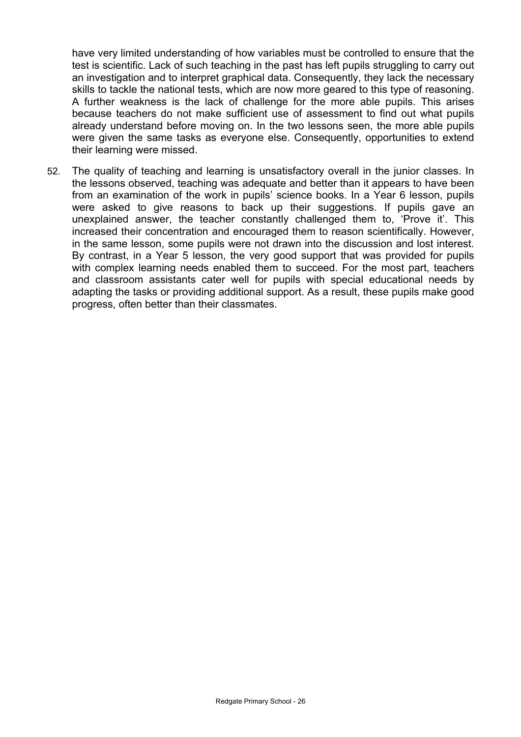have very limited understanding of how variables must be controlled to ensure that the test is scientific. Lack of such teaching in the past has left pupils struggling to carry out an investigation and to interpret graphical data. Consequently, they lack the necessary skills to tackle the national tests, which are now more geared to this type of reasoning. A further weakness is the lack of challenge for the more able pupils. This arises because teachers do not make sufficient use of assessment to find out what pupils already understand before moving on. In the two lessons seen, the more able pupils were given the same tasks as everyone else. Consequently, opportunities to extend their learning were missed.

52. The quality of teaching and learning is unsatisfactory overall in the junior classes. In the lessons observed, teaching was adequate and better than it appears to have been from an examination of the work in pupils' science books. In a Year 6 lesson, pupils were asked to give reasons to back up their suggestions. If pupils gave an unexplained answer, the teacher constantly challenged them to, 'Prove it'. This increased their concentration and encouraged them to reason scientifically. However, in the same lesson, some pupils were not drawn into the discussion and lost interest. By contrast, in a Year 5 lesson, the very good support that was provided for pupils with complex learning needs enabled them to succeed. For the most part, teachers and classroom assistants cater well for pupils with special educational needs by adapting the tasks or providing additional support. As a result, these pupils make good progress, often better than their classmates.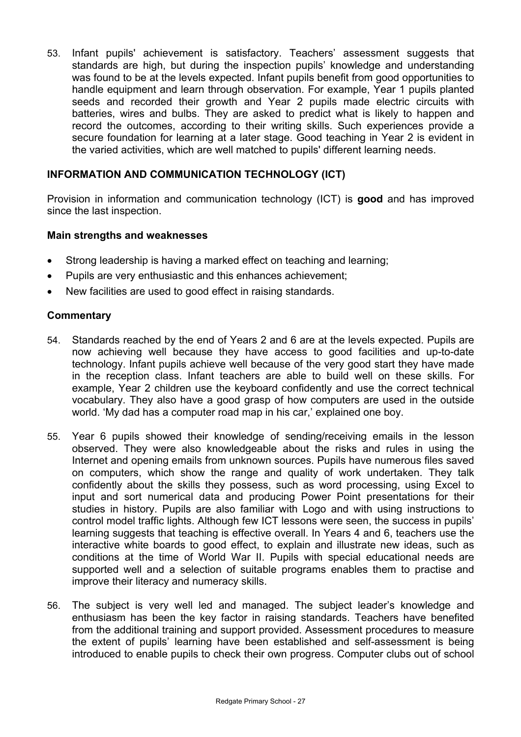53. Infant pupils' achievement is satisfactory. Teachers' assessment suggests that standards are high, but during the inspection pupils' knowledge and understanding was found to be at the levels expected. Infant pupils benefit from good opportunities to handle equipment and learn through observation. For example, Year 1 pupils planted seeds and recorded their growth and Year 2 pupils made electric circuits with batteries, wires and bulbs. They are asked to predict what is likely to happen and record the outcomes, according to their writing skills. Such experiences provide a secure foundation for learning at a later stage. Good teaching in Year 2 is evident in the varied activities, which are well matched to pupils' different learning needs.

## **INFORMATION AND COMMUNICATION TECHNOLOGY (ICT)**

Provision in information and communication technology (ICT) is **good** and has improved since the last inspection.

## **Main strengths and weaknesses**

- Strong leadership is having a marked effect on teaching and learning;
- Pupils are very enthusiastic and this enhances achievement;
- New facilities are used to good effect in raising standards.

## **Commentary**

- 54. Standards reached by the end of Years 2 and 6 are at the levels expected. Pupils are now achieving well because they have access to good facilities and up-to-date technology. Infant pupils achieve well because of the very good start they have made in the reception class. Infant teachers are able to build well on these skills. For example, Year 2 children use the keyboard confidently and use the correct technical vocabulary. They also have a good grasp of how computers are used in the outside world. 'My dad has a computer road map in his car,' explained one boy.
- 55. Year 6 pupils showed their knowledge of sending/receiving emails in the lesson observed. They were also knowledgeable about the risks and rules in using the Internet and opening emails from unknown sources. Pupils have numerous files saved on computers, which show the range and quality of work undertaken. They talk confidently about the skills they possess, such as word processing, using Excel to input and sort numerical data and producing Power Point presentations for their studies in history. Pupils are also familiar with Logo and with using instructions to control model traffic lights. Although few ICT lessons were seen, the success in pupils' learning suggests that teaching is effective overall. In Years 4 and 6, teachers use the interactive white boards to good effect, to explain and illustrate new ideas, such as conditions at the time of World War II. Pupils with special educational needs are supported well and a selection of suitable programs enables them to practise and improve their literacy and numeracy skills.
- 56. The subject is very well led and managed. The subject leader's knowledge and enthusiasm has been the key factor in raising standards. Teachers have benefited from the additional training and support provided. Assessment procedures to measure the extent of pupils' learning have been established and self-assessment is being introduced to enable pupils to check their own progress. Computer clubs out of school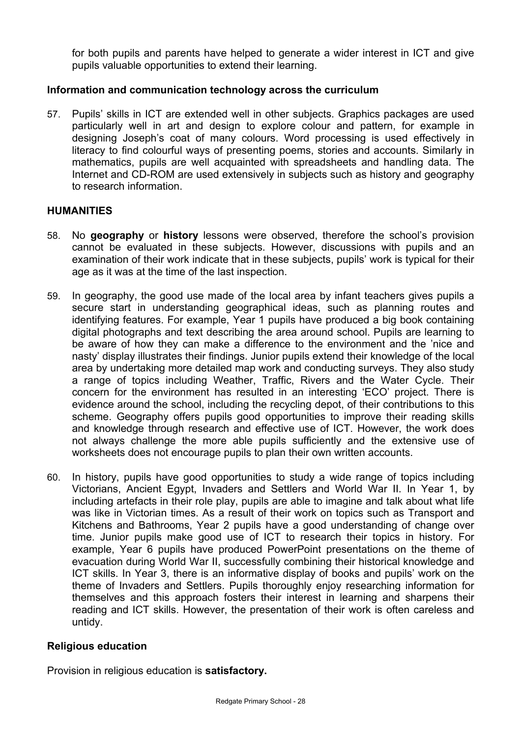for both pupils and parents have helped to generate a wider interest in ICT and give pupils valuable opportunities to extend their learning.

## **Information and communication technology across the curriculum**

57. Pupils' skills in ICT are extended well in other subjects. Graphics packages are used particularly well in art and design to explore colour and pattern, for example in designing Joseph's coat of many colours. Word processing is used effectively in literacy to find colourful ways of presenting poems, stories and accounts. Similarly in mathematics, pupils are well acquainted with spreadsheets and handling data. The Internet and CD-ROM are used extensively in subjects such as history and geography to research information.

#### **HUMANITIES**

- 58. No **geography** or **history** lessons were observed, therefore the school's provision cannot be evaluated in these subjects. However, discussions with pupils and an examination of their work indicate that in these subjects, pupils' work is typical for their age as it was at the time of the last inspection.
- 59. In geography, the good use made of the local area by infant teachers gives pupils a secure start in understanding geographical ideas, such as planning routes and identifying features. For example, Year 1 pupils have produced a big book containing digital photographs and text describing the area around school. Pupils are learning to be aware of how they can make a difference to the environment and the 'nice and nasty' display illustrates their findings. Junior pupils extend their knowledge of the local area by undertaking more detailed map work and conducting surveys. They also study a range of topics including Weather, Traffic, Rivers and the Water Cycle. Their concern for the environment has resulted in an interesting 'ECO' project. There is evidence around the school, including the recycling depot, of their contributions to this scheme. Geography offers pupils good opportunities to improve their reading skills and knowledge through research and effective use of ICT. However, the work does not always challenge the more able pupils sufficiently and the extensive use of worksheets does not encourage pupils to plan their own written accounts.
- 60. In history, pupils have good opportunities to study a wide range of topics including Victorians, Ancient Egypt, Invaders and Settlers and World War II. In Year 1, by including artefacts in their role play, pupils are able to imagine and talk about what life was like in Victorian times. As a result of their work on topics such as Transport and Kitchens and Bathrooms, Year 2 pupils have a good understanding of change over time. Junior pupils make good use of ICT to research their topics in history. For example, Year 6 pupils have produced PowerPoint presentations on the theme of evacuation during World War II, successfully combining their historical knowledge and ICT skills. In Year 3, there is an informative display of books and pupils' work on the theme of Invaders and Settlers. Pupils thoroughly enjoy researching information for themselves and this approach fosters their interest in learning and sharpens their reading and ICT skills. However, the presentation of their work is often careless and untidy.

#### **Religious education**

Provision in religious education is **satisfactory.**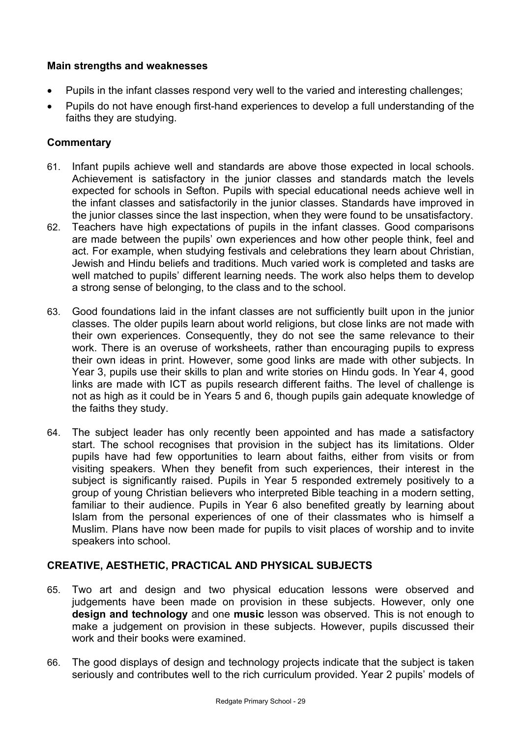## **Main strengths and weaknesses**

- Pupils in the infant classes respond very well to the varied and interesting challenges;
- Pupils do not have enough first-hand experiences to develop a full understanding of the faiths they are studying.

# **Commentary**

- 61. Infant pupils achieve well and standards are above those expected in local schools. Achievement is satisfactory in the junior classes and standards match the levels expected for schools in Sefton. Pupils with special educational needs achieve well in the infant classes and satisfactorily in the junior classes. Standards have improved in the junior classes since the last inspection, when they were found to be unsatisfactory.
- 62. Teachers have high expectations of pupils in the infant classes. Good comparisons are made between the pupils' own experiences and how other people think, feel and act. For example, when studying festivals and celebrations they learn about Christian, Jewish and Hindu beliefs and traditions. Much varied work is completed and tasks are well matched to pupils' different learning needs. The work also helps them to develop a strong sense of belonging, to the class and to the school.
- 63. Good foundations laid in the infant classes are not sufficiently built upon in the junior classes. The older pupils learn about world religions, but close links are not made with their own experiences. Consequently, they do not see the same relevance to their work. There is an overuse of worksheets, rather than encouraging pupils to express their own ideas in print. However, some good links are made with other subjects. In Year 3, pupils use their skills to plan and write stories on Hindu gods. In Year 4, good links are made with ICT as pupils research different faiths. The level of challenge is not as high as it could be in Years 5 and 6, though pupils gain adequate knowledge of the faiths they study.
- 64. The subject leader has only recently been appointed and has made a satisfactory start. The school recognises that provision in the subject has its limitations. Older pupils have had few opportunities to learn about faiths, either from visits or from visiting speakers. When they benefit from such experiences, their interest in the subject is significantly raised. Pupils in Year 5 responded extremely positively to a group of young Christian believers who interpreted Bible teaching in a modern setting, familiar to their audience. Pupils in Year 6 also benefited greatly by learning about Islam from the personal experiences of one of their classmates who is himself a Muslim. Plans have now been made for pupils to visit places of worship and to invite speakers into school.

# **CREATIVE, AESTHETIC, PRACTICAL AND PHYSICAL SUBJECTS**

- 65. Two art and design and two physical education lessons were observed and judgements have been made on provision in these subjects. However, only one **design and technology** and one **music** lesson was observed. This is not enough to make a judgement on provision in these subjects. However, pupils discussed their work and their books were examined.
- 66. The good displays of design and technology projects indicate that the subject is taken seriously and contributes well to the rich curriculum provided. Year 2 pupils' models of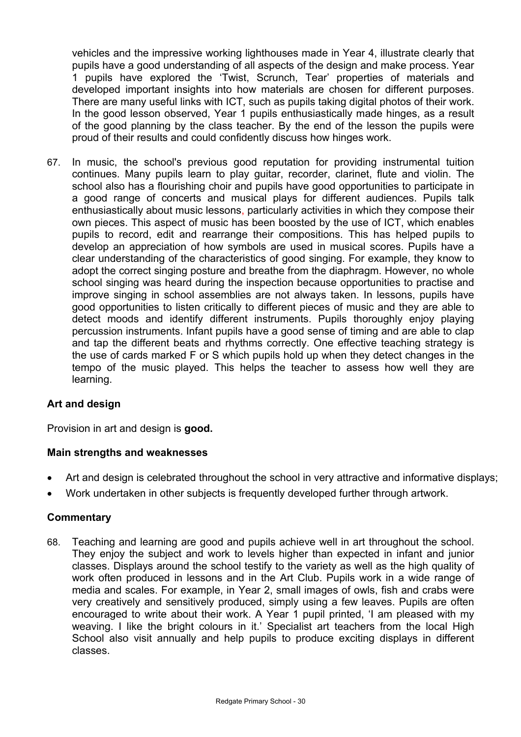vehicles and the impressive working lighthouses made in Year 4, illustrate clearly that pupils have a good understanding of all aspects of the design and make process. Year 1 pupils have explored the 'Twist, Scrunch, Tear' properties of materials and developed important insights into how materials are chosen for different purposes. There are many useful links with ICT, such as pupils taking digital photos of their work. In the good lesson observed, Year 1 pupils enthusiastically made hinges, as a result of the good planning by the class teacher. By the end of the lesson the pupils were proud of their results and could confidently discuss how hinges work.

67. In music, the school's previous good reputation for providing instrumental tuition continues. Many pupils learn to play guitar, recorder, clarinet, flute and violin. The school also has a flourishing choir and pupils have good opportunities to participate in a good range of concerts and musical plays for different audiences. Pupils talk enthusiastically about music lessons, particularly activities in which they compose their own pieces. This aspect of music has been boosted by the use of ICT, which enables pupils to record, edit and rearrange their compositions. This has helped pupils to develop an appreciation of how symbols are used in musical scores. Pupils have a clear understanding of the characteristics of good singing. For example, they know to adopt the correct singing posture and breathe from the diaphragm. However, no whole school singing was heard during the inspection because opportunities to practise and improve singing in school assemblies are not always taken. In lessons, pupils have good opportunities to listen critically to different pieces of music and they are able to detect moods and identify different instruments. Pupils thoroughly enjoy playing percussion instruments. Infant pupils have a good sense of timing and are able to clap and tap the different beats and rhythms correctly. One effective teaching strategy is the use of cards marked F or S which pupils hold up when they detect changes in the tempo of the music played. This helps the teacher to assess how well they are learning.

# **Art and design**

Provision in art and design is **good.**

## **Main strengths and weaknesses**

- Art and design is celebrated throughout the school in very attractive and informative displays;
- Work undertaken in other subjects is frequently developed further through artwork.

## **Commentary**

68. Teaching and learning are good and pupils achieve well in art throughout the school. They enjoy the subject and work to levels higher than expected in infant and junior classes. Displays around the school testify to the variety as well as the high quality of work often produced in lessons and in the Art Club. Pupils work in a wide range of media and scales. For example, in Year 2, small images of owls, fish and crabs were very creatively and sensitively produced, simply using a few leaves. Pupils are often encouraged to write about their work. A Year 1 pupil printed, 'I am pleased with my weaving. I like the bright colours in it.' Specialist art teachers from the local High School also visit annually and help pupils to produce exciting displays in different classes.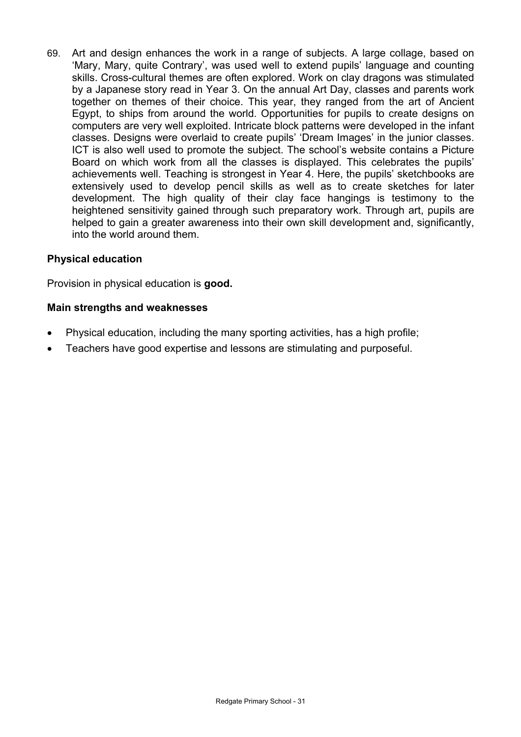69. Art and design enhances the work in a range of subjects. A large collage, based on 'Mary, Mary, quite Contrary', was used well to extend pupils' language and counting skills. Cross-cultural themes are often explored. Work on clay dragons was stimulated by a Japanese story read in Year 3. On the annual Art Day, classes and parents work together on themes of their choice. This year, they ranged from the art of Ancient Egypt, to ships from around the world. Opportunities for pupils to create designs on computers are very well exploited. Intricate block patterns were developed in the infant classes. Designs were overlaid to create pupils' 'Dream Images' in the junior classes. ICT is also well used to promote the subject. The school's website contains a Picture Board on which work from all the classes is displayed. This celebrates the pupils' achievements well. Teaching is strongest in Year 4. Here, the pupils' sketchbooks are extensively used to develop pencil skills as well as to create sketches for later development. The high quality of their clay face hangings is testimony to the heightened sensitivity gained through such preparatory work. Through art, pupils are helped to gain a greater awareness into their own skill development and, significantly, into the world around them.

# **Physical education**

Provision in physical education is **good.**

## **Main strengths and weaknesses**

- Physical education, including the many sporting activities, has a high profile;
- Teachers have good expertise and lessons are stimulating and purposeful.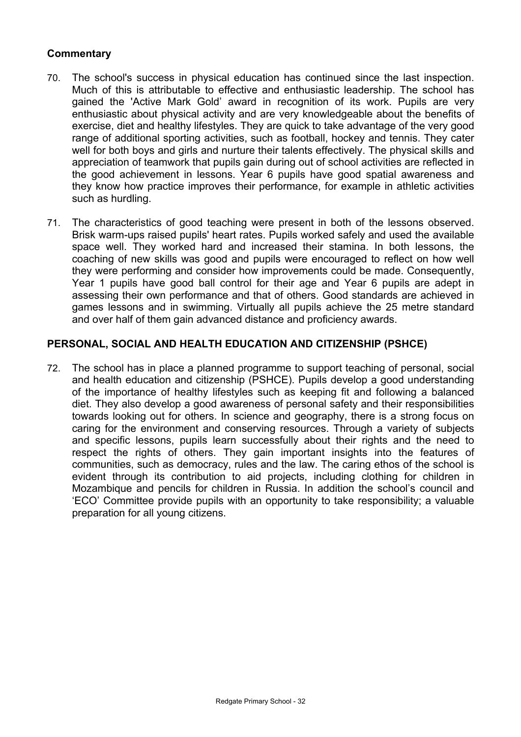## **Commentary**

- 70. The school's success in physical education has continued since the last inspection. Much of this is attributable to effective and enthusiastic leadership. The school has gained the 'Active Mark Gold' award in recognition of its work. Pupils are very enthusiastic about physical activity and are very knowledgeable about the benefits of exercise, diet and healthy lifestyles. They are quick to take advantage of the very good range of additional sporting activities, such as football, hockey and tennis. They cater well for both boys and girls and nurture their talents effectively. The physical skills and appreciation of teamwork that pupils gain during out of school activities are reflected in the good achievement in lessons. Year 6 pupils have good spatial awareness and they know how practice improves their performance, for example in athletic activities such as hurdling.
- 71. The characteristics of good teaching were present in both of the lessons observed. Brisk warm-ups raised pupils' heart rates. Pupils worked safely and used the available space well. They worked hard and increased their stamina. In both lessons, the coaching of new skills was good and pupils were encouraged to reflect on how well they were performing and consider how improvements could be made. Consequently, Year 1 pupils have good ball control for their age and Year 6 pupils are adept in assessing their own performance and that of others. Good standards are achieved in games lessons and in swimming. Virtually all pupils achieve the 25 metre standard and over half of them gain advanced distance and proficiency awards.

## **PERSONAL, SOCIAL AND HEALTH EDUCATION AND CITIZENSHIP (PSHCE)**

72. The school has in place a planned programme to support teaching of personal, social and health education and citizenship (PSHCE). Pupils develop a good understanding of the importance of healthy lifestyles such as keeping fit and following a balanced diet. They also develop a good awareness of personal safety and their responsibilities towards looking out for others. In science and geography, there is a strong focus on caring for the environment and conserving resources. Through a variety of subjects and specific lessons, pupils learn successfully about their rights and the need to respect the rights of others. They gain important insights into the features of communities, such as democracy, rules and the law. The caring ethos of the school is evident through its contribution to aid projects, including clothing for children in Mozambique and pencils for children in Russia. In addition the school's council and 'ECO' Committee provide pupils with an opportunity to take responsibility; a valuable preparation for all young citizens.